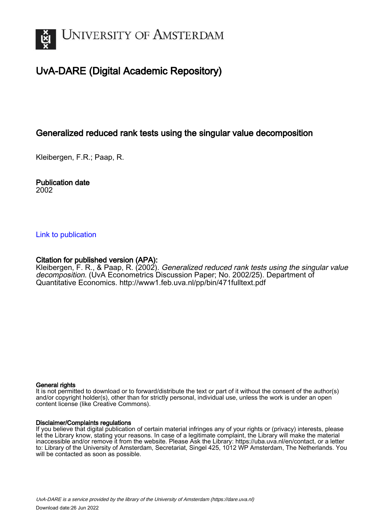

## UvA-DARE (Digital Academic Repository)

## Generalized reduced rank tests using the singular value decomposition

Kleibergen, F.R.; Paap, R.

### Publication date 2002

## [Link to publication](https://dare.uva.nl/personal/pure/en/publications/generalized-reduced-rank-tests-using-the-singular-value-decomposition(20c83199-e28d-4167-a1bf-636bd31e6b3b).html)

## Citation for published version (APA):

Kleibergen, F. R., & Paap, R. (2002). Generalized reduced rank tests using the singular value decomposition. (UvA Econometrics Discussion Paper; No. 2002/25). Department of Quantitative Economics. <http://www1.feb.uva.nl/pp/bin/471fulltext.pdf>

### General rights

It is not permitted to download or to forward/distribute the text or part of it without the consent of the author(s) and/or copyright holder(s), other than for strictly personal, individual use, unless the work is under an open content license (like Creative Commons).

### Disclaimer/Complaints regulations

If you believe that digital publication of certain material infringes any of your rights or (privacy) interests, please let the Library know, stating your reasons. In case of a legitimate complaint, the Library will make the material inaccessible and/or remove it from the website. Please Ask the Library: https://uba.uva.nl/en/contact, or a letter to: Library of the University of Amsterdam, Secretariat, Singel 425, 1012 WP Amsterdam, The Netherlands. You will be contacted as soon as possible.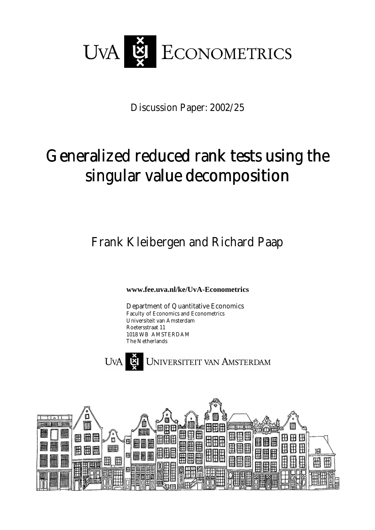

Discussion Paper: 2002/25

# Generalized reduced rank tests using the singular value decomposition

Frank Kleibergen and Richard Paap

**www.fee.uva.nl/ke/UvA-Econometrics** 

Department of Quantitative Economics Faculty of Economics and Econometrics Universiteit van Amsterdam Roetersstraat 11 1018 WB AMSTERDAM The Netherlands



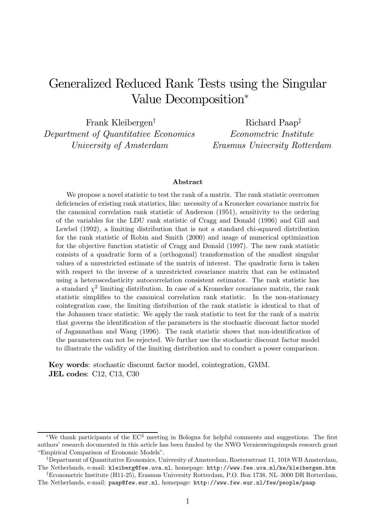## Generalized Reduced Rank Tests using the Singular Value Decomposition\*

Frank Kleibergen<sup>†</sup> Department of Quantitative Economics University of Amsterdam

Richard Paap<sup>‡</sup> Econometric Institute Erasmus University Rotterdam

### Abstract

We propose a novel statistic to test the rank of a matrix. The rank statistic overcomes deficiencies of existing rank statistics, like: necessity of a Kronecker covariance matrix for the canonical correlation rank statistic of Anderson (1951), sensitivity to the ordering of the variables for the LDU rank statistic of Cragg and Donald (1996) and Gill and Lewbel (1992), a limiting distribution that is not a standard chi-squared distribution for the rank statistic of Robin and Smith (2000) and usage of numerical optimization for the objective function statistic of Cragg and Donald (1997). The new rank statistic consists of a quadratic form of a (orthogonal) transformation of the smallest singular values of a unrestricted estimate of the matrix of interest. The quadratic form is taken with respect to the inverse of a unrestricted covariance matrix that can be estimated using a heteroscedasticity autocorrelation consistent estimator. The rank statistic has a standard  $\chi^2$  limiting distribution. In case of a Kronecker covariance matrix, the rank statistic simplifies to the canonical correlation rank statistic. In the non-stationary cointegration case, the limiting distribution of the rank statistic is identical to that of the Johansen trace statistic. We apply the rank statistic to test for the rank of a matrix that governs the identification of the parameters in the stochastic discount factor model of Jagannathan and Wang (1996). The rank statistic shows that non-identification of the parameters can not be rejected. We further use the stochastic discount factor model to illustrate the validity of the limiting distribution and to conduct a power comparison.

Key words: stochastic discount factor model, cointegration, GMM. JEL codes:  $C12$ ,  $C13$ ,  $C30$ 

<sup>\*</sup>We thank participants of the  $EC^2$  meeting in Bologna for helpful comments and suggestions. The first authors' research documented in this article has been funded by the NWO Vernieuwingsimpuls research grant "Empirical Comparison of Economic Models".

<sup>&</sup>lt;sup>†</sup>Department of Quantitative Economics, University of Amsterdam, Roetersstraat 11, 1018 WB Amsterdam, The Netherlands, e-mail: kleiberg@fee.uva.nl, homepage: http://www.fee.uva.nl/ke/kleibergen.htm

<sup>&</sup>lt;sup>‡</sup>Econometric Institute (H11-25), Erasmus University Rotterdam, P.O. Box 1738, NL-3000 DR Rotterdam, The Netherlands, e-mail: paap@few.eur.nl, homepage: http://www.few.eur.nl/few/people/paap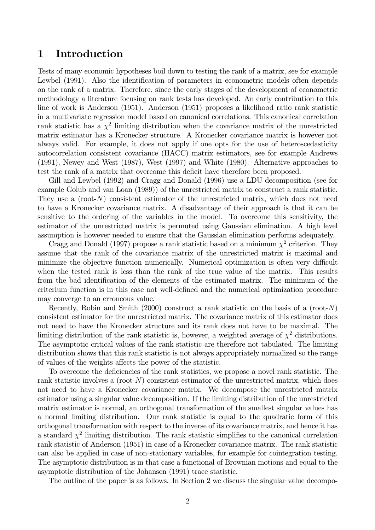#### Introduction  $\mathbf 1$

Tests of many economic hypotheses boil down to testing the rank of a matrix, see for example Lewbel (1991). Also the identification of parameters in econometric models often depends on the rank of a matrix. Therefore, since the early stages of the development of econometric methodology a literature focusing on rank tests has developed. An early contribution to this line of work is Anderson (1951). Anderson (1951) proposes a likelihood ratio rank statistic in a multivariate regression model based on canonical correlations. This canonical correlation rank statistic has a  $\chi^2$  limiting distribution when the covariance matrix of the unrestricted matrix estimator has a Kronecker structure. A Kronecker covariance matrix is however not always valid. For example, it does not apply if one opts for the use of heteroscedasticity autocorrelation consistent covariance (HACC) matrix estimators, see for example Andrews  $(1991)$ , Newey and West  $(1987)$ , West  $(1997)$  and White  $(1980)$ . Alternative approaches to test the rank of a matrix that overcome this deficit have therefore been proposed.

Gill and Lewbel (1992) and Cragg and Donald (1996) use a LDU decomposition (see for example Golub and van Loan (1989)) of the unrestricted matrix to construct a rank statistic. They use a (root- $N$ ) consistent estimator of the unrestricted matrix, which does not need to have a Kronecker covariance matrix. A disadvantage of their approach is that it can be sensitive to the ordering of the variables in the model. To overcome this sensitivity, the estimator of the unrestricted matrix is permuted using Gaussian elimination. A high level assumption is however needed to ensure that the Gaussian elimination performs adequately.

Cragg and Donald (1997) propose a rank statistic based on a minimum  $\chi^2$  criterion. They assume that the rank of the covariance matrix of the unrestricted matrix is maximal and minimize the objective function numerically. Numerical optimization is often very difficult when the tested rank is less than the rank of the true value of the matrix. This results from the bad identification of the elements of the estimated matrix. The minimum of the criterium function is in this case not well-defined and the numerical optimization procedure may converge to an erroneous value.

Recently, Robin and Smith (2000) construct a rank statistic on the basis of a (root- $N$ ) consistent estimator for the unrestricted matrix. The covariance matrix of this estimator does not need to have the Kronecker structure and its rank does not have to be maximal. The limiting distribution of the rank statistic is, however, a weighted average of  $\chi^2$  distributions. The asymptotic critical values of the rank statistic are therefore not tabulated. The limiting distribution shows that this rank statistic is not always appropriately normalized so the range of values of the weights affects the power of the statistic.

To overcome the deficiencies of the rank statistics, we propose a novel rank statistic. The rank statistic involves a (root- $N$ ) consistent estimator of the unrestricted matrix, which does not need to have a Kronecker covariance matrix. We decompose the unrestricted matrix estimator using a singular value decomposition. If the limiting distribution of the unrestricted matrix estimator is normal, an orthogonal transformation of the smallest singular values has a normal limiting distribution. Our rank statistic is equal to the quadratic form of this orthogonal transformation with respect to the inverse of its covariance matrix, and hence it has a standard  $\chi^2$  limiting distribution. The rank statistic simplifies to the canonical correlation rank statistic of Anderson (1951) in case of a Kronecker covariance matrix. The rank statistic can also be applied in case of non-stationary variables, for example for cointegration testing. The asymptotic distribution is in that case a functional of Brownian motions and equal to the asymptotic distribution of the Johansen (1991) trace statistic.

The outline of the paper is as follows. In Section 2 we discuss the singular value decompo-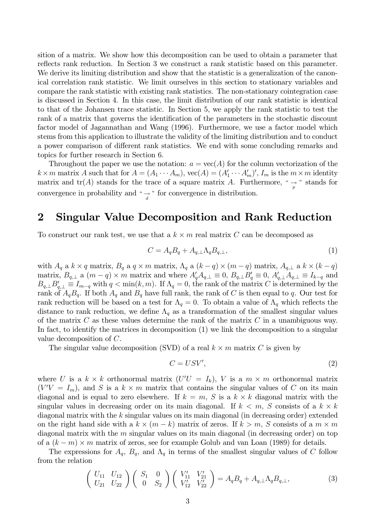sition of a matrix. We show how this decomposition can be used to obtain a parameter that reflects rank reduction. In Section 3 we construct a rank statistic based on this parameter. We derive its limiting distribution and show that the statistic is a generalization of the canonical correlation rank statistic. We limit ourselves in this section to stationary variables and compare the rank statistic with existing rank statistics. The non-stationary cointegration case is discussed in Section 4. In this case, the limit distribution of our rank statistic is identical to that of the Johansen trace statistic. In Section 5, we apply the rank statistic to test the rank of a matrix that governs the identification of the parameters in the stochastic discount factor model of Jagannathan and Wang (1996). Furthermore, we use a factor model which stems from this application to illustrate the validity of the limiting distribution and to conduct a power comparison of different rank statistics. We end with some concluding remarks and topics for further research in Section 6.

Throughout the paper we use the notation:  $a = \text{vec}(A)$  for the column vectorization of the  $k \times m$  matrix A such that for  $A = (A_1 \cdots A_m)$ ,  $\text{vec}(A) = (A'_1 \cdots A'_m)'$ ,  $I_m$  is the  $m \times m$  identity matrix and  $tr(A)$  stands for the trace of a square matrix A. Furthermore, "  $\rightarrow$  " stands for convergence in probability and " $\rightarrow$ " for convergence in distribution.

#### **Singular Value Decomposition and Rank Reduction**  $\overline{2}$

To construct our rank test, we use that a  $k \times m$  real matrix C can be decomposed as

$$
C = A_q B_q + A_{q,\perp} \Lambda_q B_{q,\perp},\tag{1}
$$

with  $A_q$  a  $k \times q$  matrix,  $B_q$  a  $q \times m$  matrix,  $\Lambda_q$  a  $(k-q) \times (m-q)$  matrix,  $A_{q,\perp}$  a  $k \times (k-q)$ matrix,  $B_{q,\perp}$  a  $(m-q) \times m$  matrix and where  $A'_q A_{q,\perp} \equiv 0$ ,  $B_{q,\perp} B'_q \equiv 0$ ,  $A'_{q,\perp} A_{q,\perp} \equiv I_{k-q}$  and  $B_{q,\perp}B'_{q,\perp} \equiv I_{m-q}$  with  $q < \min(k,m)$ . If  $\Lambda_q = 0$ , the rank of the matrix C is determined by the rank of  $A_qB_q$ . If both  $A_q$  and  $B_q$  have full rank, the rank of C is then equal to q. Our test for rank reduction will be based on a test for  $\Lambda_q = 0$ . To obtain a value of  $\Lambda_q$  which reflects the distance to rank reduction, we define  $\Lambda_q$  as a transformation of the smallest singular values of the matrix  $C$  as these values determine the rank of the matrix  $C$  in a unambiguous way. In fact, to identify the matrices in decomposition  $(1)$  we link the decomposition to a singular value decomposition of  $C$ .

The singular value decomposition (SVD) of a real  $k \times m$  matrix C is given by

$$
C = USV',\tag{2}
$$

where U is a  $k \times k$  orthonormal matrix  $(U'U = I_k)$ , V is a  $m \times m$  orthonormal matrix  $(V'V = I_m)$ , and S is a  $k \times m$  matrix that contains the singular values of C on its main diagonal and is equal to zero elsewhere. If  $k = m$ , S is a  $k \times k$  diagonal matrix with the singular values in decreasing order on its main diagonal. If  $k < m$ , S consists of a  $k \times k$ diagonal matrix with the  $k$  singular values on its main diagonal (in decreasing order) extended on the right hand side with a  $k \times (m - k)$  matrix of zeros. If  $k > m$ , S consists of a  $m \times m$ diagonal matrix with the  $m$  singular values on its main diagonal (in decreasing order) on top of a  $(k-m) \times m$  matrix of zeros, see for example Golub and van Loan (1989) for details.

The expressions for  $A_q$ ,  $B_q$ , and  $\Lambda_q$  in terms of the smallest singular values of C follow from the relation

$$
\begin{pmatrix} U_{11} & U_{12} \\ U_{21} & U_{22} \end{pmatrix} \begin{pmatrix} S_1 & 0 \\ 0 & S_2 \end{pmatrix} \begin{pmatrix} V'_{11} & V'_{21} \\ V'_{12} & V'_{22} \end{pmatrix} = A_q B_q + A_{q,\perp} \Lambda_q B_{q,\perp}, \tag{3}
$$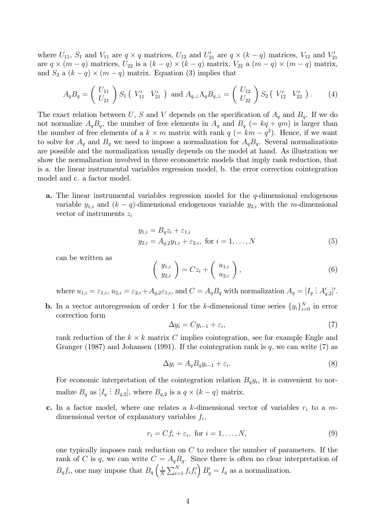where  $U_{11}$ ,  $S_1$  and  $V_{11}$  are  $q \times q$  matrices,  $U_{12}$  and  $U'_{21}$  are  $q \times (k - q)$  matrices,  $V_{12}$  and  $V'_{21}$ are  $q \times (m - q)$  matrices,  $U_{22}$  is a  $(k - q) \times (k - q)$  matrix,  $V_{22}$  a  $(m - q) \times (m - q)$  matrix, and  $S_2$  a  $(k-q) \times (m-q)$  matrix. Equation (3) implies that

$$
A_q B_q = \left(\begin{array}{c} U_{11} \\ U_{21} \end{array}\right) S_1 \left(\begin{array}{cc} V'_{11} & V'_{21} \end{array}\right) \text{ and } A_{q,\perp} \Lambda_q B_{q,\perp} = \left(\begin{array}{c} U_{12} \\ U_{22} \end{array}\right) S_2 \left(\begin{array}{cc} V'_{12} & V'_{22} \end{array}\right). \tag{4}
$$

The exact relation between U, S and V depends on the specification of  $A_q$  and  $B_q$ . If we do not normalize  $A_qB_q$ , the number of free elements in  $A_q$  and  $B_q$  (=  $kq + qm$ ) is larger than the number of free elements of a  $k \times m$  matrix with rank  $q (= km - q^2)$ . Hence, if we want to solve for  $A_q$  and  $B_q$  we need to impose a normalization for  $A_qB_q$ . Several normalizations are possible and the normalization usually depends on the model at hand. As illustration we show the normalization involved in three econometric models that imply rank reduction, that is a. the linear instrumental variables regression model, b. the error correction cointegration model and c. a factor model.

**a.** The linear instrumental variables regression model for the  $q$ -dimensional endogenous variable  $y_{1,i}$  and  $(k-q)$ -dimensional endogenous variable  $y_{2,i}$  with the m-dimensional vector of instruments  $z_i$ 

$$
y_{1,i} = B_q z_i + \varepsilon_{1,i}
$$
  
\n
$$
y_{2,i} = A_{q,2} y_{1,i} + \varepsilon_{2,i}, \text{ for } i = 1, ..., N
$$
 (5)

can be written as

$$
\left(\begin{array}{c} y_{1,i} \\ y_{2,i} \end{array}\right) = Cz_i + \left(\begin{array}{c} u_{1,i} \\ u_{2,i} \end{array}\right),\tag{6}
$$

where  $u_{1,i} = \varepsilon_{1,i}$ ,  $u_{2,i} = \varepsilon_{2,i} + A_{q,2} \varepsilon_{1,i}$ , and  $C = A_q B_q$  with normalization  $A_q = [I_q : A_{q,2}']'$ .

**b.** In a vector autoregression of order 1 for the k-dimensional time series  $\{y_i\}_{i=0}^N$  in error correction form

$$
\Delta y_i = C y_{i-1} + \varepsilon_i,\tag{7}
$$

rank reduction of the  $k \times k$  matrix C implies cointegration, see for example Engle and Granger (1987) and Johansen (1991). If the cointegration rank is  $q$ , we can write (7) as

$$
\Delta y_i = A_q B_q y_{i-1} + \varepsilon_i. \tag{8}
$$

For economic interpretation of the cointegration relation  $B_q y_i$ , it is convenient to normalize  $B_q$  as  $[I_q: B_{q,2}]$ , where  $B_{q,2}$  is a  $q \times (k-q)$  matrix.

**c.** In a factor model, where one relates a k-dimensional vector of variables  $r_i$  to a mdimensional vector of explanatory variables  $f_i$ ,

$$
r_i = Cf_i + \varepsilon_i, \text{ for } i = 1, \dots, N,
$$
\n(9)

one typically imposes rank reduction on  $C$  to reduce the number of parameters. If the rank of C is q, we can write  $C = A_q B_q$ . Since there is often no clear interpretation of  $B_q f_i$ , one may impose that  $B_q \left( \frac{1}{N} \sum_{i=1}^N f_i f'_i \right) B'_q = I_q$  as a normalization.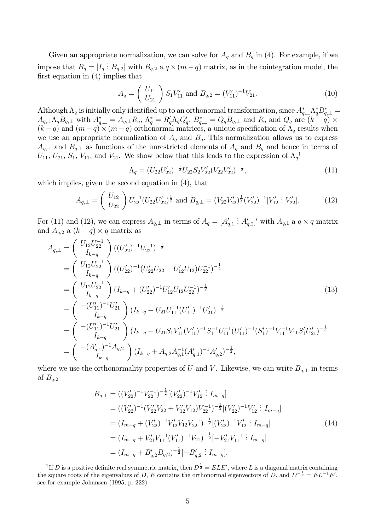Given an appropriate normalization, we can solve for  $A_q$  and  $B_q$  in (4). For example, if we impose that  $B_q = [I_q : B_{q,2}]$  with  $B_{q,2}$  a  $q \times (m-q)$  matrix, as in the cointegration model, the first equation in  $(4)$  implies that

$$
A_q = \left(\begin{array}{c} U_{11} \\ U_{21} \end{array}\right) S_1 V'_{11} \text{ and } B_{q,2} = (V'_{11})^{-1} V_{21}.
$$
 (10)

Although  $\Lambda_q$  is initially only identified up to an orthonormal transformation, since  $A_{q,\perp}^*\Lambda_q^*B_{q,\perp}^* =$  $A_{q,\perp}\Lambda_q B_{q,\perp}$  with  $A_{q,\perp}^* = A_{q,\perp} R_q$ ,  $\Lambda_q^* = R_q' \Lambda_q Q_q'$ ,  $B_{q,\perp}^* = Q_q B_{q,\perp}$  and  $R_q$  and  $Q_q$  are  $(k-q) \times$  $(k-q)$  and  $(m-q) \times (m-q)$  orthonormal matrices, a unique specification of  $\Lambda_q$  results when we use an appropriate normalization of  $A_q$  and  $B_q$ . This normalization allows us to express  $A_{q,\perp}$  and  $B_{q,\perp}$  as functions of the unrestricted elements of  $A_q$  and  $B_q$  and hence in terms of  $U_{11}, U_{21}, S_1, V_{11}$ , and  $V_{21}$ . We show below that this leads to the expression of  $\Lambda_q^1$ 

$$
\Lambda_q = (U_{22}U_{22}')^{-\frac{1}{2}}U_{22}S_2V_{22}'(V_{22}V_{22}')^{-\frac{1}{2}},\tag{11}
$$

which implies, given the second equation in  $(4)$ , that

$$
A_{q,\perp} = \begin{pmatrix} U_{12} \\ U_{22} \end{pmatrix} U_{22}^{-1} (U_{22} U_{22}')^{\frac{1}{2}} \text{ and } B_{q,\perp} = (V_{22} V_{22}')^{\frac{1}{2}} (V_{22}')^{-1} [V_{12}' \vdots V_{22}'].
$$
 (12)

For (11) and (12), we can express  $A_{q,\perp}$  in terms of  $A_q = [A'_{q,1} \, : A'_{q,2}]'$  with  $A_{q,1}$  a  $q \times q$  matrix and  $A_{q,2}$  a  $(k-q) \times q$  matrix as

$$
A_{q,\perp} = \begin{pmatrix} U_{12}U_{22}^{-1} \\ I_{k-q} \end{pmatrix} ((U'_{22})^{-1}U_{22}^{-1})^{-\frac{1}{2}}
$$
  
\n
$$
= \begin{pmatrix} U_{12}U_{22}^{-1} \\ I_{k-q} \end{pmatrix} ((U'_{22})^{-1}(U'_{22}U_{22} + U'_{12}U_{12})U_{22}^{-1})^{-\frac{1}{2}}
$$
  
\n
$$
= \begin{pmatrix} U_{12}U_{22}^{-1} \\ I_{k-q} \end{pmatrix} (I_{k-q} + (U'_{22})^{-1}U'_{12}U_{12}U_{22}^{-1})^{-\frac{1}{2}}
$$
  
\n
$$
= \begin{pmatrix} - (U'_{11})^{-1}U'_{21} \\ I_{k-q} \end{pmatrix} (I_{k-q} + U_{21}U_{11}^{-1}(U'_{11})^{-1}U'_{21})^{-\frac{1}{2}}
$$
  
\n
$$
= \begin{pmatrix} -(U'_{11})^{-1}U'_{21} \\ I_{k-q} \end{pmatrix} (I_{k-q} + U_{21}S_{1}V'_{11}(V'_{11})^{-1}S_{1}^{-1}U_{11}^{-1}(U'_{11})^{-1}(S'_{1})^{-1}V_{11}^{-1}V_{11}S'_{1}U'_{21})^{-\frac{1}{2}}
$$
  
\n
$$
= \begin{pmatrix} -(A'_{q,1})^{-1}A_{q,2} \\ I_{k-q} \end{pmatrix} (I_{k-q} + A_{q,2}A_{q,1}^{-1}(A'_{q,1})^{-1}A'_{q,2})^{-\frac{1}{2}},
$$
  
\n(13)

where we use the orthonormality properties of U and V. Likewise, we can write  $B_{q,\perp}$  in terms of  $B_{q,2}$ 

$$
B_{q,\perp} = ((V'_{22})^{-1}V_{22}^{-1})^{-\frac{1}{2}}[(V'_{22})^{-1}V'_{12} : I_{m-q}]
$$
  
\n
$$
= ((V'_{22})^{-1}(V'_{22}V_{22} + V'_{12}V_{12})V_{22}^{-1})^{-\frac{1}{2}}[(V'_{22})^{-1}V'_{12} : I_{m-q}]
$$
  
\n
$$
= (I_{m-q} + (V'_{22})^{-1}V'_{12}V_{12}V_{22}^{-1})^{-\frac{1}{2}}[(V'_{22})^{-1}V'_{12} : I_{m-q}]
$$
  
\n
$$
= (I_{m-q} + V'_{21}V_{11}^{-1}(V'_{11})^{-1}V_{21})^{-\frac{1}{2}}[-V'_{21}V_{11}^{-1} : I_{m-q}]
$$
  
\n
$$
= (I_{m-q} + B'_{q,2}B_{q,2})^{-\frac{1}{2}}[-B'_{q,2} : I_{m-q}].
$$
  
\n(14)

<sup>&</sup>lt;sup>1</sup>If D is a positive definite real symmetric matrix, then  $D^{\frac{1}{2}} = ELE'$ , where L is a diagonal matrix containing the square roots of the eigenvalues of D, E contains the orthonormal eigenvectors of D, and  $D^{-\frac{1}{2}} = EL^{-1}E'$ , see for example Johansen (1995, p. 222).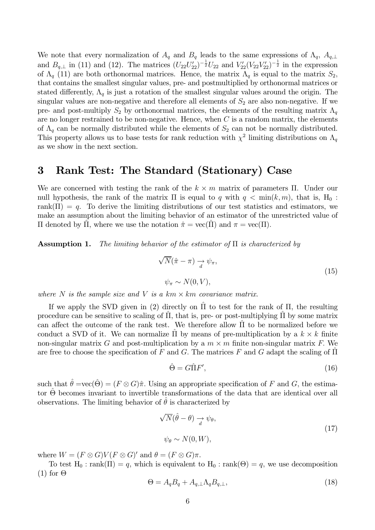We note that every normalization of  $A_q$  and  $B_q$  leads to the same expressions of  $\Lambda_q$ ,  $A_{q,\perp}$ and  $B_{q,\perp}$  in (11) and (12). The matrices  $(U_{22}U_{22}')^{-\frac{1}{2}}U_{22}$  and  $V_{22}'(V_{22}V_{22}')^{-\frac{1}{2}}$  in the expression of  $\Lambda_q$  (11) are both orthonormal matrices. Hence, the matrix  $\Lambda_q$  is equal to the matrix  $S_2$ , that contains the smallest singular values, pre- and postmultiplied by orthonormal matrices or stated differently,  $\Lambda_q$  is just a rotation of the smallest singular values around the origin. The singular values are non-negative and therefore all elements of  $S_2$  are also non-negative. If we pre- and post-multiply  $S_2$  by orthonormal matrices, the elements of the resulting matrix  $\Lambda_q$ are no longer restrained to be non-negative. Hence, when  $C$  is a random matrix, the elements of  $\Lambda_q$  can be normally distributed while the elements of  $S_2$  can not be normally distributed. This property allows us to base tests for rank reduction with  $\chi^2$  limiting distributions on  $\Lambda_q$ as we show in the next section.

#### $\bf{3}$ Rank Test: The Standard (Stationary) Case

We are concerned with testing the rank of the  $k \times m$  matrix of parameters  $\Pi$ . Under our null hypothesis, the rank of the matrix  $\Pi$  is equal to q with  $q < \min(k,m)$ , that is,  $H_0$ : rank( $\Pi$ ) = q. To derive the limiting distributions of our test statistics and estimators, we make an assumption about the limiting behavior of an estimator of the unrestricted value of  $\Pi$  denoted by  $\Pi$ , where we use the notation  $\hat{\pi} = \text{vec}(\Pi)$  and  $\pi = \text{vec}(\Pi)$ .

The limiting behavior of the estimator of  $\Pi$  is characterized by Assumption 1.

$$
\sqrt{N}(\hat{\pi} - \pi) \xrightarrow{d} \psi_{\pi},
$$
  
\n
$$
\psi_{\pi} \sim N(0, V),
$$
\n(15)

where N is the sample size and V is a  $km \times km$  covariance matrix.

If we apply the SVD given in (2) directly on  $\Pi$  to test for the rank of  $\Pi$ , the resulting procedure can be sensitive to scaling of  $\Pi$ , that is, pre- or post-multiplying  $\Pi$  by some matrix can affect the outcome of the rank test. We therefore allow  $\Pi$  to be normalized before we conduct a SVD of it. We can normalize  $\hat{\Pi}$  by means of pre-multiplication by a  $k \times k$  finite non-singular matrix G and post-multiplication by a  $m \times m$  finite non-singular matrix F. We are free to choose the specification of F and G. The matrices F and G adapt the scaling of  $\Pi$ 

$$
\hat{\Theta} = G\hat{\Pi}F',\tag{16}
$$

such that  $\hat{\theta} = \text{vec}(\hat{\Theta}) = (F \otimes G)\hat{\pi}$ . Using an appropriate specification of F and G, the estimator  $\hat{\Theta}$  becomes invariant to invertible transformations of the data that are identical over all observations. The limiting behavior of  $\hat{\theta}$  is characterized by

$$
\sqrt{N}(\hat{\theta} - \theta) \xrightarrow{d} \psi_{\theta},
$$
  
\n
$$
\psi_{\theta} \sim N(0, W),
$$
\n(17)

where  $W = (F \otimes G)V(F \otimes G)'$  and  $\theta = (F \otimes G)\pi$ .

To test H<sub>0</sub>: rank( $\Pi$ ) = q, which is equivalent to H<sub>0</sub>: rank( $\Theta$ ) = q, we use decomposition  $(1)$  for  $\Theta$ 

$$
\Theta = A_q B_q + A_{q,\perp} \Lambda_q B_{q,\perp},\tag{18}
$$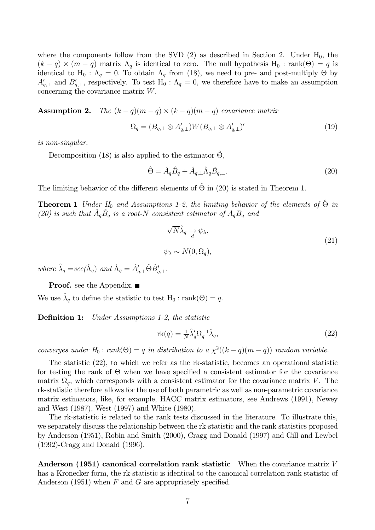where the components follow from the SVD (2) as described in Section 2. Under  $H_0$ , the  $(k-q) \times (m-q)$  matrix  $\Lambda_q$  is identical to zero. The null hypothesis  $H_0$ : rank $(\Theta) = q$  is identical to H<sub>0</sub>:  $\Lambda_q = 0$ . To obtain  $\Lambda_q$  from (18), we need to pre- and post-multiply  $\Theta$  by  $A'_{q,\perp}$  and  $B'_{q,\perp}$ , respectively. To test  $H_0: \Lambda_q = 0$ , we therefore have to make an assumption concerning the covariance matrix  $W$ .

**Assumption 2.** The  $(k-q)(m-q) \times (k-q)(m-q)$  covariance matrix

$$
\Omega_q = (B_{q,\perp} \otimes A'_{q,\perp}) W (B_{q,\perp} \otimes A'_{q,\perp})' \tag{19}
$$

is non-singular.

Decomposition (18) is also applied to the estimator  $\hat{\Theta}$ .

$$
\hat{\Theta} = \hat{A}_q \hat{B}_q + \hat{A}_{q,\perp} \hat{\Lambda}_q \hat{B}_{q,\perp}.
$$
\n(20)

The limiting behavior of the different elements of  $\Theta$  in (20) is stated in Theorem 1.

**Theorem 1** Under  $H_0$  and Assumptions 1-2, the limiting behavior of the elements of  $\hat{\Theta}$  in (20) is such that  $A_qB_q$  is a root-N consistent estimator of  $A_qB_q$  and

$$
\sqrt{N}\hat{\lambda}_q \to \psi_{\lambda},
$$
  
\n
$$
\psi_{\lambda} \sim N(0, \Omega_q),
$$
\n(21)

where  $\hat{\lambda}_q = vec(\hat{\Lambda}_q)$  and  $\hat{\Lambda}_q = \hat{A}_{q,1}' \hat{\Theta} \hat{B}_{q,1}'$ .

**Proof.** see the Appendix.  $\blacksquare$ 

We use  $\hat{\lambda}_q$  to define the statistic to test  $H_0 : \text{rank}(\Theta) = q$ .

Under Assumptions 1-2, the statistic Definition 1:

$$
rk(q) = \frac{1}{N} \hat{\lambda}_q' \Omega_q^{-1} \hat{\lambda}_q,\tag{22}
$$

converges under  $H_0$ : rank $(\Theta) = q$  in distribution to a  $\chi^2((k-q)(m-q))$  random variable.

The statistic  $(22)$ , to which we refer as the rk-statistic, becomes an operational statistic for testing the rank of  $\Theta$  when we have specified a consistent estimator for the covariance matrix  $\Omega_q$ , which corresponds with a consistent estimator for the covariance matrix V. The rk-statistic therefore allows for the use of both parametric as well as non-parametric covariance matrix estimators, like, for example, HACC matrix estimators, see Andrews (1991), Newey and West (1987), West (1997) and White (1980).

The rk-statistic is related to the rank tests discussed in the literature. To illustrate this, we separately discuss the relationship between the rk-statistic and the rank statistics proposed by Anderson (1951), Robin and Smith (2000), Cragg and Donald (1997) and Gill and Lewbel  $(1992)$ -Cragg and Donald  $(1996)$ .

Anderson (1951) canonical correlation rank statistic When the covariance matrix V has a Kronecker form, the rk-statistic is identical to the canonical correlation rank statistic of Anderson (1951) when  $F$  and  $G$  are appropriately specified.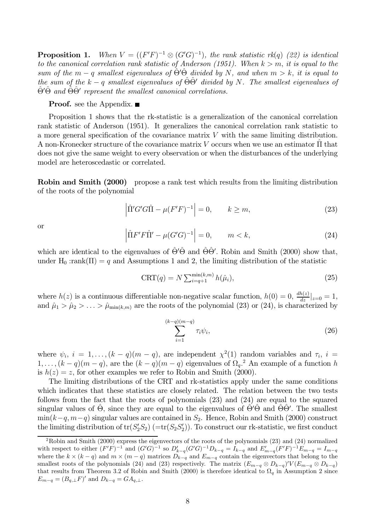**Proposition 1.** When  $V = ((F'F)^{-1} \otimes (G'G)^{-1})$ , the rank statistic rk(q) (22) is identical to the canonical correlation rank statistic of Anderson (1951). When  $k > m$ , it is equal to the sum of the  $m-q$  smallest eigenvalues of  $\Theta' \Theta$  divided by N, and when  $m > k$ , it is equal to the sum of the  $k-q$  smallest eigenvalues of  $\Theta \Theta'$  divided by N. The smallest eigenvalues of  $\hat{\Theta}'\hat{\Theta}$  and  $\hat{\Theta}\hat{\Theta}'$  represent the smallest canonical correlations.

### **Proof.** see the Appendix.  $\blacksquare$

Proposition 1 shows that the rk-statistic is a generalization of the canonical correlation rank statistic of Anderson (1951). It generalizes the canonical correlation rank statistic to a more general specification of the covariance matrix  $V$  with the same limiting distribution. A non-Kronecker structure of the covariance matrix V occurs when we use an estimator  $\Pi$  that does not give the same weight to every observation or when the disturbances of the underlying model are heteroscedastic or correlated.

**Robin and Smith (2000)** propose a rank test which results from the limiting distribution of the roots of the polynomial

$$
\left| \hat{\Pi}' G' G \hat{\Pi} - \mu (F'F)^{-1} \right| = 0, \qquad k \ge m,
$$
\n(23)

**or** 

$$
\left| \hat{\Pi} F' F \hat{\Pi}' - \mu (G' G)^{-1} \right| = 0, \qquad m < k,\tag{24}
$$

which are identical to the eigenvalues of  $\hat{\Theta}'\hat{\Theta}$  and  $\hat{\Theta}\hat{\Theta}'$ . Robin and Smith (2000) show that, under H<sub>0</sub> :rank $(\Pi) = q$  and Assumptions 1 and 2, the limiting distribution of the statistic

$$
\text{CRT}(q) = N \sum_{i=q+1}^{\min(k,m)} h(\hat{\mu}_i),\tag{25}
$$

where  $h(z)$  is a continuous differentiable non-negative scalar function,  $h(0) = 0$ ,  $\frac{dh(z)}{dz}|_{z=0} = 1$ , and  $\hat{\mu}_1 > \hat{\mu}_2 > ... > \hat{\mu}_{\min(k,m)}$  are the roots of the polynomial (23) or (24), is characterized by

$$
\sum_{i=1}^{(k-q)(m-q)} \tau_i \psi_i,\tag{26}
$$

where  $\psi_i$ ,  $i = 1, ..., (k - q)(m - q)$ , are independent  $\chi^2(1)$  random variables and  $\tau_i$ ,  $i =$  $1, \ldots, (k-q)(m-q)$ , are the  $(k-q)(m-q)$  eigenvalues of  $\Omega_q$ .<sup>2</sup> An example of a function h is  $h(z) = z$ , for other examples we refer to Robin and Smith (2000).

The limiting distributions of the CRT and rk-statistics apply under the same conditions which indicates that these statistics are closely related. The relation between the two tests follows from the fact that the roots of polynomials  $(23)$  and  $(24)$  are equal to the squared singular values of  $\Theta$ , since they are equal to the eigenvalues of  $\Theta' \Theta$  and  $\Theta \Theta'$ . The smallest  $\min(k-q, m-q)$  singular values are contained in  $S_2$ . Hence, Robin and Smith (2000) construct the limiting distribution of  $\text{tr}(S_2'S_2)$  (= $\text{tr}(S_2'S_2')$ ). To construct our rk-statistic, we first conduct

 ${}^{2}$ Robin and Smith (2000) express the eigenvectors of the roots of the polynomials (23) and (24) normalized with respect to either  $(F'F)^{-1}$  and  $(G'G)^{-1}$  so  $D'_{k-q}(G'G)^{-1}D_{k-q} = I_{k-q}$  and  $E'_{m-q}(F'F)^{-1}E'_{m-q} = I_{m-q}$ where the  $k \times (k - q)$  and  $m \times (m - q)$  matrices  $D_{k-q}$  and  $E_{m-q}$  contain the eigenvectors that belong to the smallest roots of the polynomials (24) and (23) respectively. The matrix  $(E_{m-q} \otimes D_{k-q})'V(E_{m-q} \otimes D_{k-q})$ that results from Theorem 3.2 of Robin and Smith (2000) is therefore identical to  $\Omega_q$  in Assumption 2 since  $E_{m-q} = (B_{q,\perp}F)'$  and  $D_{k-q} = GA_{q,\perp}$ .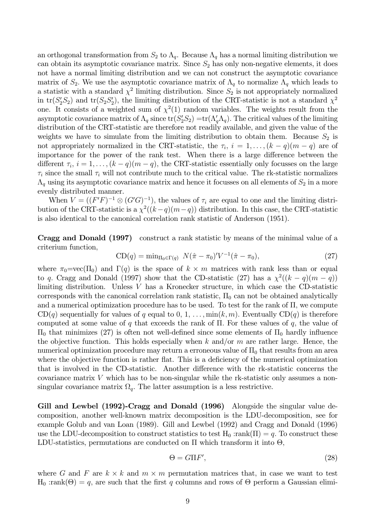an orthogonal transformation from  $S_2$  to  $\Lambda_q$ . Because  $\Lambda_q$  has a normal limiting distribution we can obtain its asymptotic covariance matrix. Since  $S_2$  has only non-negative elements, it does not have a normal limiting distribution and we can not construct the asymptotic covariance matrix of  $S_2$ . We use the asymptotic covariance matrix of  $\Lambda_q$  to normalize  $\Lambda_q$  which leads to a statistic with a standard  $\chi^2$  limiting distribution. Since  $S_2$  is not appropriately normalized in  $tr(S_2'S_2)$  and  $tr(S_2'S_2')$ , the limiting distribution of the CRT-statistic is not a standard  $\chi^2$ one. It consists of a weighted sum of  $\chi^2(1)$  random variables. The weights result from the asymptotic covariance matrix of  $\Lambda_q$  since  $\text{tr}(S'_2S_2) = \text{tr}(\Lambda'_q\Lambda_q)$ . The critical values of the limiting distribution of the CRT-statistic are therefore not readily available, and given the value of the weights we have to simulate from the limiting distribution to obtain them. Because  $S_2$  is not appropriately normalized in the CRT-statistic, the  $\tau_i$ ,  $i = 1, \ldots, (k - q)(m - q)$  are of importance for the power of the rank test. When there is a large difference between the different  $\tau_i$ ,  $i = 1, \ldots, (k - q)(m - q)$ , the CRT-statistic essentially only focusses on the large  $\tau_i$  since the small  $\tau_i$  will not contribute much to the critical value. The rk-statistic normalizes  $\Lambda_q$  using its asymptotic covariance matrix and hence it focusses on all elements of  $S_2$  in a more evenly distributed manner.

When  $V = ((F'F)^{-1} \otimes (G'G)^{-1})$ , the values of  $\tau_i$  are equal to one and the limiting distribution of the CRT-statistic is a  $\chi^2((k-q)(m-q))$  distribution. In this case, the CRT-statistic is also identical to the canonical correlation rank statistic of Anderson (1951).

**Cragg and Donald (1997)** construct a rank statistic by means of the minimal value of a criterium function,

$$
CD(q) = \min_{\Pi_0 \in \Gamma(q)} N(\hat{\pi} - \pi_0)' V^{-1}(\hat{\pi} - \pi_0), \tag{27}
$$

where  $\pi_0 = \text{vec}(\Pi_0)$  and  $\Gamma(q)$  is the space of  $k \times m$  matrices with rank less than or equal to q. Cragg and Donald (1997) show that the CD-statistic (27) has a  $\chi^2((k-q)(m-q))$ limiting distribution. Unless  $V$  has a Kronecker structure, in which case the CD-statistic corresponds with the canonical correlation rank statistic,  $\Pi_0$  can not be obtained analytically and a numerical optimization procedure has to be used. To test for the rank of  $\Pi$ , we compute  $CD(q)$  sequentially for values of q equal to 0, 1, ...,  $\min(k, m)$ . Eventually  $CD(q)$  is therefore computed at some value of q that exceeds the rank of  $\Pi$ . For these values of q, the value of  $\Pi_0$  that minimizes (27) is often not well-defined since some elements of  $\Pi_0$  hardly influence the objective function. This holds especially when  $k$  and/or  $m$  are rather large. Hence, the numerical optimization procedure may return a erroneous value of  $\Pi_0$  that results from an area where the objective function is rather flat. This is a deficiency of the numerical optimization that is involved in the CD-statistic. Another difference with the rk-statistic concerns the covariance matrix  $V$  which has to be non-singular while the rk-statistic only assumes a nonsingular covariance matrix  $\Omega_q$ . The latter assumption is a less restrictive.

Gill and Lewbel (1992)-Cragg and Donald (1996) Alongside the singular value decomposition, another well-known matrix decomposition is the LDU-decomposition, see for example Golub and van Loan (1989). Gill and Lewbel (1992) and Cragg and Donald (1996) use the LDU-decomposition to construct statistics to test  $H_0 : rank(\Pi) = q$ . To construct these LDU-statistics, permutations are conducted on  $\Pi$  which transform it into  $\Theta$ ,

$$
\Theta = G\Pi F',\tag{28}
$$

where G and F are  $k \times k$  and  $m \times m$  permutation matrices that, in case we want to test  $H_0$ : rank $(\Theta) = q$ , are such that the first q columns and rows of  $\Theta$  perform a Gaussian elimi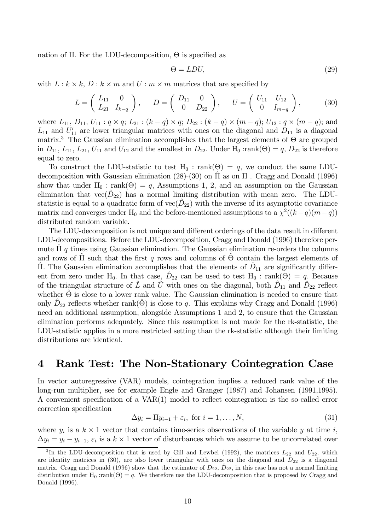nation of  $\Pi$ . For the LDU-decomposition,  $\Theta$  is specified as

$$
\Theta = LDU,\tag{29}
$$

with  $L: k \times k$ ,  $D: k \times m$  and  $U: m \times m$  matrices that are specified by

$$
L = \begin{pmatrix} L_{11} & 0 \\ L_{21} & I_{k-q} \end{pmatrix}, \qquad D = \begin{pmatrix} D_{11} & 0 \\ 0 & D_{22} \end{pmatrix}, \qquad U = \begin{pmatrix} U_{11} & U_{12} \\ 0 & I_{m-q} \end{pmatrix}, \tag{30}
$$

where  $L_{11}$ ,  $D_{11}$ ,  $U_{11}$ :  $q \times q$ ;  $L_{21}$ :  $(k - q) \times q$ ;  $D_{22}$ :  $(k - q) \times (m - q)$ ;  $U_{12}$ :  $q \times (m - q)$ ; and  $L_{11}$  and  $U'_{11}$  are lower triangular matrices with ones on the diagonal and  $D_{11}$  is a diagonal matrix.<sup>3</sup> The Gaussian elimination accomplishes that the largest elements of  $\Theta$  are grouped in  $D_{11}$ ,  $L_{11}$ ,  $L_{21}$ ,  $U_{11}$  and  $U_{12}$  and the smallest in  $D_{22}$ . Under  $H_0$  :rank( $\Theta$ ) = q,  $D_{22}$  is therefore equal to zero.

To construct the LDU-statistic to test  $H_0$ : rank( $\Theta$ ) = q, we conduct the same LDUdecomposition with Gaussian elimination (28)-(30) on  $\Pi$  as on  $\Pi$ . Cragg and Donald (1996) show that under  $H_0$ : rank( $\Theta$ ) = q, Assumptions 1, 2, and an assumption on the Gaussian elimination that  $vec(D_{22})$  has a normal limiting distribution with mean zero. The LDUstatistic is equal to a quadratic form of  $vec(\hat{D}_{22})$  with the inverse of its asymptotic covariance matrix and converges under H<sub>0</sub> and the before-mentioned assumptions to a  $\chi^2((k-q)(m-q))$ distributed random variable.

The LDU-decomposition is not unique and different orderings of the data result in different LDU-decompositions. Before the LDU-decomposition, Cragg and Donald (1996) therefore permute  $\Pi$  q times using Gaussian elimination. The Gaussian elimination re-orders the columns and rows of  $\Pi$  such that the first q rows and columns of  $\Theta$  contain the largest elements of  $\Pi$ . The Gaussian elimination accomplishes that the elements of  $D_{11}$  are significantly different from zero under H<sub>0</sub>. In that case,  $\hat{D}_{22}$  can be used to test H<sub>0</sub>: rank( $\Theta$ ) = q. Because of the triangular structure of  $\hat{L}$  and  $\hat{U}$  with ones on the diagonal, both  $\hat{D}_{11}$  and  $\hat{D}_{22}$  reflect whether  $\hat{\Theta}$  is close to a lower rank value. The Gaussian elimination is needed to ensure that only  $\hat{D}_{22}$  reflects whether rank( $\hat{\Theta}$ ) is close to q. This explains why Cragg and Donald (1996) need an additional assumption, alongside Assumptions 1 and 2, to ensure that the Gaussian elimination performs adequately. Since this assumption is not made for the rk-statistic, the LDU-statistic applies in a more restricted setting than the rk-statistic although their limiting distributions are identical.

#### Rank Test: The Non-Stationary Cointegration Case  $\boldsymbol{4}$

In vector autoregressive (VAR) models, cointegration implies a reduced rank value of the long-run multiplier, see for example Engle and Granger (1987) and Johansen (1991,1995). A convenient specification of a VAR(1) model to reflect cointegration is the so-called error correction specification

$$
\Delta y_i = \Pi y_{i-1} + \varepsilon_i, \text{ for } i = 1, \dots, N,
$$
\n(31)

where  $y_i$  is a  $k \times 1$  vector that contains time-series observations of the variable y at time i,  $\Delta y_i = y_i - y_{i-1}, \varepsilon_i$  is a  $k \times 1$  vector of disturbances which we assume to be uncorrelated over

<sup>&</sup>lt;sup>3</sup>In the LDU-decomposition that is used by Gill and Lewbel (1992), the matrices  $L_{22}$  and  $U_{22}$ , which are identity matrices in (30), are also lower triangular with ones on the diagonal and  $D_{22}$  is a diagonal matrix. Cragg and Donald (1996) show that the estimator of  $D_{22}$ ,  $D_{22}$ , in this case has not a normal limiting distribution under H<sub>0</sub> :rank( $\Theta$ ) = q. We therefore use the LDU-decomposition that is proposed by Cragg and Donald (1996).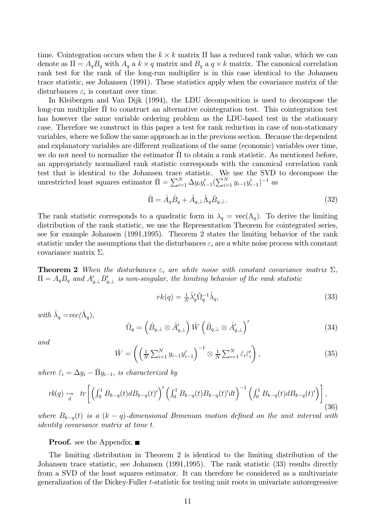time. Cointegration occurs when the  $k \times k$  matrix  $\Pi$  has a reduced rank value, which we can denote as  $\Pi = A_q B_q$  with  $A_q$  a  $k \times q$  matrix and  $B_q$  a  $q \times k$  matrix. The canonical correlation rank test for the rank of the long-run multiplier is in this case identical to the Johansen trace statistic, see Johansen (1991). These statistics apply when the covariance matrix of the disturbances  $\varepsilon_i$  is constant over time.

In Kleibergen and Van Dijk (1994), the LDU decomposition is used to decompose the long-run multiplier  $\Pi$  to construct an alternative cointegration test. This cointegration test has however the same variable ordering problem as the LDU-based test in the stationary case. Therefore we construct in this paper a test for rank reduction in case of non-stationary variables, where we follow the same approach as in the previous section. Because the dependent and explanatory variables are different realizations of the same (economic) variables over time, we do not need to normalize the estimator  $\Pi$  to obtain a rank statistic. As mentioned before, an appropriately normalized rank statistic corresponds with the canonical correlation rank test that is identical to the Johansen trace statistic. We use the SVD to decompose the unrestricted least squares estimator  $\hat{\Pi} = \sum_{i=1}^{N} \Delta y_i y_{i-1}' (\sum_{i=1}^{N} y_{i-1} y_{i-1}')^{-1}$  as

$$
\hat{\Pi} = \hat{A}_q \hat{B}_q + \hat{A}_{q,\perp} \hat{\Lambda}_q \hat{B}_{q,\perp}.
$$
\n(32)

The rank statistic corresponds to a quadratic form in  $\lambda_q = \text{vec}(\Lambda_q)$ . To derive the limiting distribution of the rank statistic, we use the Representation Theorem for cointegrated series, see for example Johansen (1991,1995). Theorem 2 states the limiting behavior of the rank statistic under the assumptions that the disturbances  $\varepsilon_i$  are a white noise process with constant covariance matrix  $\Sigma$ .

**Theorem 2** When the disturbances  $\varepsilon_i$  are white noise with constant covariance matrix  $\Sigma$ ,  $\Pi = A_q B_q$  and  $A_{q,\perp}' B_{q,\perp}'$  is non-singular, the limiting behavior of the rank statistic

$$
rk(q) = \frac{1}{N} \hat{\lambda}_q' \hat{\Omega}_q^{-1} \hat{\lambda}_q,\tag{33}
$$

with  $\hat{\lambda}_a = vec(\hat{\Lambda}_a)$ ,

$$
\hat{\Omega}_q = \left(\hat{B}_{q,\perp} \otimes \hat{A}'_{q,\perp}\right) \hat{W} \left(\hat{B}_{q,\perp} \otimes \hat{A}'_{q,\perp}\right)'
$$
\n(34)

and

$$
\hat{W} = \left( \left( \frac{1}{N} \sum_{i=1}^{N} y_{i-1} y'_{i-1} \right)^{-1} \otimes \frac{1}{N} \sum_{i=1}^{N} \tilde{\varepsilon}_i \tilde{\varepsilon}'_i \right),\tag{35}
$$

where  $\tilde{\varepsilon}_i = \Delta y_i - \tilde{\Pi} y_{i-1}$ , is characterized by

$$
rk(q) \to \int_{d} tr \left[ \left( \int_0^1 B_{k-q}(t) dB_{k-q}(t)' \right)' \left( \int_0^1 B_{k-q}(t) B_{k-q}(t)' dt \right)^{-1} \left( \int_0^1 B_{k-q}(t) dB_{k-q}(t)' \right) \right],
$$
\n(36)

where  $B_{k-q}(t)$  is a  $(k-q)$ -dimensional Brownian motion defined on the unit interval with *identity covariance matrix at time t.* 

**Proof.** see the Appendix.  $\blacksquare$ 

The limiting distribution in Theorem 2 is identical to the limiting distribution of the Johansen trace statistic, see Johansen (1991,1995). The rank statistic (33) results directly from a SVD of the least squares estimator. It can therefore be considered as a multivariate generalization of the Dickey-Fuller t-statistic for testing unit roots in univariate autoregressive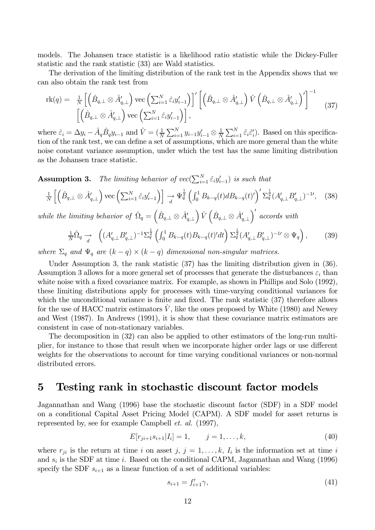models. The Johansen trace statistic is a likelihood ratio statistic while the Dickey-Fuller statistic and the rank statistic (33) are Wald statistics.

The derivation of the limiting distribution of the rank test in the Appendix shows that we can also obtain the rank test from

$$
\mathrm{rk}(q) = \frac{1}{N} \left[ \left( \hat{B}_{q,\perp} \otimes \hat{A}'_{q,\perp} \right) \mathrm{vec} \left( \sum_{i=1}^{N} \hat{\varepsilon}_{i} y'_{i-1} \right) \right]' \left[ \left( \hat{B}_{q,\perp} \otimes \hat{A}'_{q,\perp} \right) \hat{V} \left( \hat{B}_{q,\perp} \otimes \hat{A}'_{q,\perp} \right)' \right]^{-1} \tag{37}
$$
\n
$$
\left[ \left( \hat{B}_{q,\perp} \otimes \hat{A}'_{q,\perp} \right) \mathrm{vec} \left( \sum_{i=1}^{N} \hat{\varepsilon}_{i} y'_{i-1} \right) \right],
$$

where  $\hat{\varepsilon}_i = \Delta y_i - \hat{A}_q \hat{B}_q y_{i-1}$  and  $\hat{V} = (\frac{1}{N} \sum_{i=1}^N y_{i-1} y'_{i-1} \otimes \frac{1}{N} \sum_{i=1}^N \tilde{\varepsilon}_i \tilde{\varepsilon}'_i)$ . Based on this specification of the rank test, we can define a set of assumptions, which are more general than the white noise constant variance assumption, under which the test has the same limiting distribution as the Johansen trace statistic.

The limiting behavior of  $vec(\sum_{i=1}^{N} \hat{\varepsilon}_i y_{i-1}')$  is such that Assumption 3.

$$
\frac{1}{N} \left[ \left( \hat{B}_{q,\perp} \otimes \hat{A}_{q,\perp}' \right) \text{vec} \left( \sum_{i=1}^N \hat{\varepsilon}_i y_{i-1}' \right) \right] \xrightarrow[d]{} \Psi_q^{\frac{1}{2}} \left( \int_0^1 B_{k-q}(t) dB_{k-q}(t)' \right)' \Sigma_q^{\frac{1}{2}} (A_{q,\perp}' B_{q,\perp}')^{-1} \tag{38}
$$

while the limiting behavior of  $\hat{\Omega}_q = (\hat{B}_{q,\perp} \otimes \hat{A}_{q,\perp}') \hat{V} (\hat{B}_{q,\perp} \otimes \hat{A}_{q,\perp}')'$  accords with

$$
\frac{1}{N}\hat{\Omega}_q \to \left( (A'_{q,\perp} B'_{q,\perp})^{-1} \Sigma_q^{\frac{1}{2}} \left( \int_0^1 B_{k-q}(t) B_{k-q}(t)' dt \right) \Sigma_q^{\frac{1}{2}} (A'_{q,\perp} B'_{q,\perp})^{-1} \otimes \Psi_q \right), \tag{39}
$$

where  $\Sigma_q$  and  $\Psi_q$  are  $(k-q) \times (k-q)$  dimensional non-singular matrices.

Under Assumption 3, the rank statistic  $(37)$  has the limiting distribution given in  $(36)$ . Assumption 3 allows for a more general set of processes that generate the disturbances  $\varepsilon_i$  than white noise with a fixed covariance matrix. For example, as shown in Phillips and Solo (1992), these limiting distributions apply for processes with time-varying conditional variances for which the unconditional variance is finite and fixed. The rank statistic  $(37)$  therefore allows for the use of HACC matrix estimators  $\hat{V}$ , like the ones proposed by White (1980) and Newey and West  $(1987)$ . In Andrews  $(1991)$ , it is show that these covariance matrix estimators are consistent in case of non-stationary variables.

The decomposition in  $(32)$  can also be applied to other estimators of the long-run multiplier, for instance to those that result when we incorporate higher order lags or use different weights for the observations to account for time varying conditional variances or non-normal distributed errors.

#### Testing rank in stochastic discount factor models  $\overline{5}$

Jagannathan and Wang (1996) base the stochastic discount factor (SDF) in a SDF model on a conditional Capital Asset Pricing Model (CAPM). A SDF model for asset returns is represented by, see for example Campbell *et. al.* (1997),

$$
E[r_{ji+1}s_{i+1}|I_i] = 1, \t j = 1,\ldots,k,
$$
\t(40)

where  $r_{ji}$  is the return at time i on asset j,  $j = 1, \ldots, k$ ,  $I_i$  is the information set at time i and  $s_i$  is the SDF at time *i*. Based on the conditional CAPM, Jagannathan and Wang (1996) specify the SDF  $s_{i+1}$  as a linear function of a set of additional variables:

$$
s_{i+1} = f'_{i+1}\gamma,\tag{41}
$$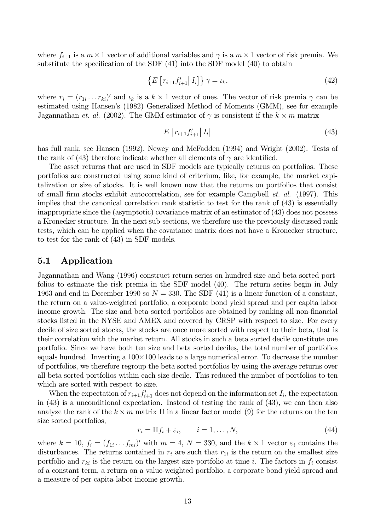where  $f_{i+1}$  is a  $m \times 1$  vector of additional variables and  $\gamma$  is a  $m \times 1$  vector of risk premia. We substitute the specification of the SDF  $(41)$  into the SDF model  $(40)$  to obtain

$$
\left\{ E\left[r_{i+1}f'_{i+1}\right|I_i\right]\right\} \gamma = \iota_k,\tag{42}
$$

where  $r_i = (r_{1i} \dots r_{ki})'$  and  $\iota_k$  is a  $k \times 1$  vector of ones. The vector of risk premia  $\gamma$  can be estimated using Hansen's (1982) Generalized Method of Moments (GMM), see for example Jagannathan et. al. (2002). The GMM estimator of  $\gamma$  is consistent if the  $k \times m$  matrix

$$
E\left[r_{i+1}f'_{i+1}\right]I_i\tag{43}
$$

has full rank, see Hansen (1992), Newey and McFadden (1994) and Wright (2002). Tests of the rank of (43) therefore indicate whether all elements of  $\gamma$  are identified.

The asset returns that are used in SDF models are typically returns on portfolios. These portfolios are constructed using some kind of criterium, like, for example, the market capitalization or size of stocks. It is well known now that the returns on portfolios that consist of small firm stocks exhibit autocorrelation, see for example Campbell *et. al.* (1997). This implies that the canonical correlation rank statistic to test for the rank of (43) is essentially inappropriate since the (asymptotic) covariance matrix of an estimator of  $(43)$  does not possess a Kronecker structure. In the next sub-sections, we therefore use the previously discussed rank tests, which can be applied when the covariance matrix does not have a Kronecker structure. to test for the rank of  $(43)$  in SDF models.

#### $5.1$ Application

Jagannathan and Wang (1996) construct return series on hundred size and beta sorted portfolios to estimate the risk premia in the SDF model (40). The return series begin in July 1963 and end in December 1990 so  $N = 330$ . The SDF (41) is a linear function of a constant, the return on a value-weighted portfolio, a corporate bond yield spread and per capita labor income growth. The size and beta sorted portfolios are obtained by ranking all non-financial stocks listed in the NYSE and AMEX and covered by CRSP with respect to size. For every decile of size sorted stocks, the stocks are once more sorted with respect to their beta, that is their correlation with the market return. All stocks in such a beta sorted decile constitute one portfolio. Since we have both ten size and beta sorted deciles, the total number of portfolios equals hundred. Inverting a  $100 \times 100$  leads to a large numerical error. To decrease the number of portfolios, we therefore regroup the beta sorted portfolios by using the average returns over all beta sorted portfolios within each size decile. This reduced the number of portfolios to ten which are sorted with respect to size.

When the expectation of  $r_{i+1}f'_{i+1}$  does not depend on the information set  $I_i$ , the expectation in  $(43)$  is a unconditional expectation. Instead of testing the rank of  $(43)$ , we can then also analyze the rank of the  $k \times m$  matrix  $\Pi$  in a linear factor model (9) for the returns on the ten size sorted portfolios,

$$
r_i = \Pi f_i + \varepsilon_i, \qquad i = 1, \dots, N,
$$
\n
$$
(44)
$$

where  $k = 10$ ,  $f_i = (f_{1i} \dots f_{mi})'$  with  $m = 4$ ,  $N = 330$ , and the  $k \times 1$  vector  $\varepsilon_i$  contains the disturbances. The returns contained in  $r_i$  are such that  $r_{1i}$  is the return on the smallest size portfolio and  $r_{ki}$  is the return on the largest size portfolio at time *i*. The factors in  $f_i$  consist of a constant term, a return on a value-weighted portfolio, a corporate bond yield spread and a measure of per capita labor income growth.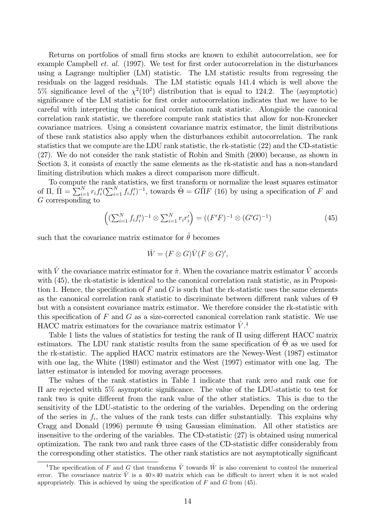Returns on portfolios of small firm stocks are known to exhibit autocorrelation, see for example Campbell *et. al.* (1997). We test for first order autocorrelation in the disturbances using a Lagrange multiplier (LM) statistic. The LM statistic results from regressing the residuals on the lagged residuals. The LM statistic equals 141.4 which is well above the 5% significance level of the  $\chi^2(10^2)$  distribution that is equal to 124.2. The (asymptotic) significance of the LM statistic for first order autocorrelation indicates that we have to be careful with interpreting the canonical correlation rank statistic. Alongside the canonical correlation rank statistic, we therefore compute rank statistics that allow for non-Kronecker covariance matrices. Using a consistent covariance matrix estimator, the limit distributions of these rank statistics also apply when the disturbances exhibit autocorrelation. The rank statistics that we compute are the LDU rank statistic, the rk-statistic (22) and the CD-statistic  $(27)$ . We do not consider the rank statistic of Robin and Smith  $(2000)$  because, as shown in Section 3, it consists of exactly the same elements as the rk-statistic and has a non-standard limiting distribution which makes a direct comparison more difficult.

To compute the rank statistics, we first transform or normalize the least squares estimator of  $\Pi$ ,  $\hat{\Pi} = \sum_{i=1}^{N} r_i f_i' (\sum_{i=1}^{N} f_i f_i')^{-1}$ , towards  $\hat{\Theta} = G \hat{\Pi} F$  (16) by using a specification of F and G corresponding to

$$
\left( (\sum_{i=1}^{N} f_i f'_i)^{-1} \otimes \sum_{i=1}^{N} r_i r'_i \right) = \left( (F'F)^{-1} \otimes (G'G)^{-1} \right) \tag{45}
$$

such that the covariance matrix estimator for  $\hat{\theta}$  becomes

$$
\hat{W} = (F \otimes G)\hat{V}(F \otimes G)'
$$

with  $\hat{V}$  the covariance matrix estimator for  $\hat{\pi}$ . When the covariance matrix estimator  $\hat{V}$  accords with (45), the rk-statistic is identical to the canonical correlation rank statistic, as in Proposition 1. Hence, the specification of  $F$  and  $G$  is such that the rk-statistic uses the same elements as the canonical correlation rank statistic to discriminate between different rank values of  $\Theta$ but with a consistent covariance matrix estimator. We therefore consider the rk-statistic with this specification of  $F$  and  $G$  as a size-corrected canonical correlation rank statistic. We use HACC matrix estimators for the covariance matrix estimator  $V^4$ .

Table 1 lists the values of statistics for testing the rank of  $\Pi$  using different HACC matrix estimators. The LDU rank statistic results from the same specification of  $\Theta$  as we used for the rk-statistic. The applied HACC matrix estimators are the Newey-West (1987) estimator with one lag, the White (1980) estimator and the West (1997) estimator with one lag. The latter estimator is intended for moving average processes.

The values of the rank statistics in Table 1 indicate that rank zero and rank one for  $\Pi$  are rejected with 5% asymptotic significance. The value of the LDU-statistic to test for rank two is quite different from the rank value of the other statistics. This is due to the sensitivity of the LDU-statistic to the ordering of the variables. Depending on the ordering of the series in  $f_i$ , the values of the rank tests can differ substantially. This explains why Cragg and Donald (1996) permute  $\hat{\Theta}$  using Gaussian elimination. All other statistics are insensitive to the ordering of the variables. The CD-statistic (27) is obtained using numerical optimization. The rank two and rank three cases of the CD-statistic differ considerably from the corresponding other statistics. The other rank statistics are not asymptotically significant

<sup>&</sup>lt;sup>4</sup>The specification of F and G that transforms  $\hat{V}$  towards  $\hat{W}$  is also convenient to control the numerical error. The covariance matrix  $\hat{V}$  is a 40×40 matrix which can be difficult to invert when it is not scaled appropriately. This is achieved by using the specification of  $F$  and  $G$  from (45).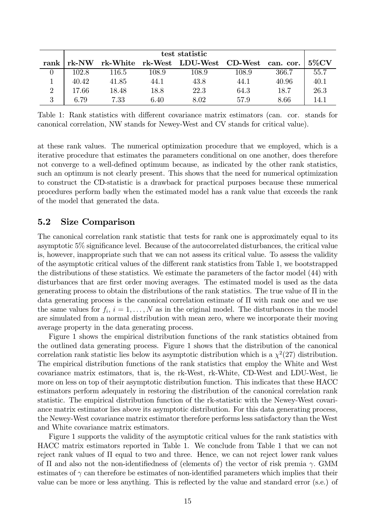|                | test statistic |       |       |                                             |       |       |          |
|----------------|----------------|-------|-------|---------------------------------------------|-------|-------|----------|
| rank l         | rk-NW          |       |       | rk-White rk-West LDU-West CD-West can. cor. |       |       | $5\%$ CV |
|                | 102.8          | 116.5 | 108.9 | 108.9                                       | 108.9 | 366.7 | 55.7     |
|                | 40.42          | 41.85 | 44.1  | 43.8                                        | 44.1  | 40.96 | 40.1     |
| $\overline{2}$ | 17.66          | 18.48 | 18.8  | 22.3                                        | 64.3  | 18.7  | 26.3     |
| 3              | 6.79           | 7.33  | 6.40  | 8.02                                        | 57.9  | 8.66  | 14.1     |

Table 1: Rank statistics with different covariance matrix estimators (can. cor. stands for canonical correlation, NW stands for Newey-West and CV stands for critical value).

at these rank values. The numerical optimization procedure that we employed, which is a iterative procedure that estimates the parameters conditional on one another, does therefore not converge to a well-defined optimum because, as indicated by the other rank statistics, such an optimum is not clearly present. This shows that the need for numerical optimization to construct the CD-statistic is a drawback for practical purposes because these numerical procedures perform badly when the estimated model has a rank value that exceeds the rank of the model that generated the data.

#### $5.2$ Size Comparison

The canonical correlation rank statistic that tests for rank one is approximately equal to its asymptotic 5% significance level. Because of the autocorrelated disturbances, the critical value is, however, inappropriate such that we can not assess its critical value. To assess the validity of the asymptotic critical values of the different rank statistics from Table 1, we bootstrapped the distributions of these statistics. We estimate the parameters of the factor model (44) with disturbances that are first order moving averages. The estimated model is used as the data generating process to obtain the distributions of the rank statistics. The true value of  $\Pi$  in the data generating process is the canonical correlation estimate of  $\Pi$  with rank one and we use the same values for  $f_i$ ,  $i = 1, ..., N$  as in the original model. The disturbances in the model are simulated from a normal distribution with mean zero, where we incorporate their moving average property in the data generating process.

Figure 1 shows the empirical distribution functions of the rank statistics obtained from the outlined data generating process. Figure 1 shows that the distribution of the canonical correlation rank statistic lies below its asymptotic distribution which is a  $\chi^2(27)$  distribution. The empirical distribution functions of the rank statistics that employ the White and West covariance matrix estimators, that is, the rk-West, rk-White, CD-West and LDU-West, lie more on less on top of their asymptotic distribution function. This indicates that these HACC estimators perform adequately in restoring the distribution of the canonical correlation rank statistic. The empirical distribution function of the rk-statistic with the Newey-West covariance matrix estimator lies above its asymptotic distribution. For this data generating process, the Newey-West covariance matrix estimator therefore performs less satisfactory than the West and White covariance matrix estimators.

Figure 1 supports the validity of the asymptotic critical values for the rank statistics with HACC matrix estimators reported in Table 1. We conclude from Table 1 that we can not reject rank values of  $\Pi$  equal to two and three. Hence, we can not reject lower rank values of  $\Pi$  and also not the non-identifiedness of (elements of) the vector of risk premia  $\gamma$ . GMM estimates of  $\gamma$  can therefore be estimates of non-identified parameters which implies that their value can be more or less anything. This is reflected by the value and standard error (s.e.) of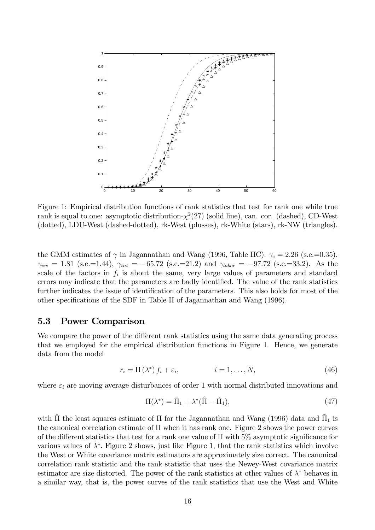

Figure 1: Empirical distribution functions of rank statistics that test for rank one while true rank is equal to one: asymptotic distribution- $\chi^2(27)$  (solid line), can. cor. (dashed), CD-West (dotted), LDU-West (dashed-dotted), rk-West (plusses), rk-White (stars), rk-NW (triangles).

the GMM estimates of  $\gamma$  in Jagannathan and Wang (1996, Table IIC):  $\gamma_c = 2.26$  (s.e.=0.35),  $\gamma_{vw} = 1.81$  (s.e.=1.44),  $\gamma_{int} = -65.72$  (s.e.=21.2) and  $\gamma_{labor} = -97.72$  (s.e.=33.2). As the scale of the factors in  $f_i$  is about the same, very large values of parameters and standard errors may indicate that the parameters are badly identified. The value of the rank statistics further indicates the issue of identification of the parameters. This also holds for most of the other specifications of the SDF in Table II of Jagannathan and Wang (1996).

#### 5.3 **Power Comparison**

We compare the power of the different rank statistics using the same data generating process that we employed for the empirical distribution functions in Figure 1. Hence, we generate data from the model

$$
r_i = \Pi(\lambda^*) f_i + \varepsilon_i, \qquad i = 1, \dots, N,
$$
\n<sup>(46)</sup>

where  $\varepsilon_i$  are moving average disturbances of order 1 with normal distributed innovations and

$$
\Pi(\lambda^*) = \tilde{\Pi}_1 + \lambda^* (\hat{\Pi} - \tilde{\Pi}_1),\tag{47}
$$

with  $\hat{\Pi}$  the least squares estimate of  $\Pi$  for the Jagannathan and Wang (1996) data and  $\hat{\Pi}_1$  is the canonical correlation estimate of  $\Pi$  when it has rank one. Figure 2 shows the power curves of the different statistics that test for a rank one value of  $\Pi$  with 5% asymptotic significance for various values of  $\lambda^*$ . Figure 2 shows, just like Figure 1, that the rank statistics which involve the West or White covariance matrix estimators are approximately size correct. The canonical correlation rank statistic and the rank statistic that uses the Newey-West covariance matrix estimator are size distorted. The power of the rank statistics at other values of  $\lambda^*$  behaves in a similar way, that is, the power curves of the rank statistics that use the West and White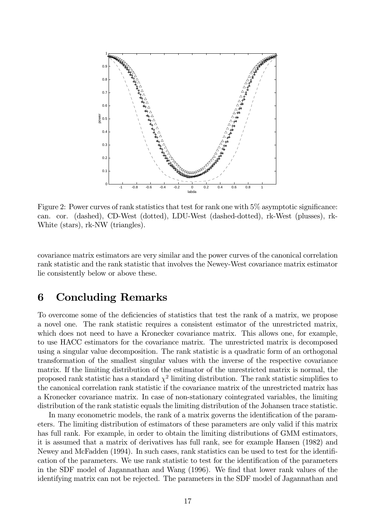

Figure 2: Power curves of rank statistics that test for rank one with  $5\%$  asymptotic significance: can. cor. (dashed), CD-West (dotted), LDU-West (dashed-dotted), rk-West (plusses), rk-White (stars), rk-NW (triangles).

covariance matrix estimators are very similar and the power curves of the canonical correlation rank statistic and the rank statistic that involves the Newey-West covariance matrix estimator lie consistently below or above these.

#### **Concluding Remarks** 6

To overcome some of the deficiencies of statistics that test the rank of a matrix, we propose a novel one. The rank statistic requires a consistent estimator of the unrestricted matrix, which does not need to have a Kronecker covariance matrix. This allows one, for example, to use HACC estimators for the covariance matrix. The unrestricted matrix is decomposed using a singular value decomposition. The rank statistic is a quadratic form of an orthogonal transformation of the smallest singular values with the inverse of the respective covariance matrix. If the limiting distribution of the estimator of the unrestricted matrix is normal, the proposed rank statistic has a standard  $\chi^2$  limiting distribution. The rank statistic simplifies to the canonical correlation rank statistic if the covariance matrix of the unrestricted matrix has a Kronecker covariance matrix. In case of non-stationary cointegrated variables, the limiting distribution of the rank statistic equals the limiting distribution of the Johansen trace statistic.

In many econometric models, the rank of a matrix governs the identification of the parameters. The limiting distribution of estimators of these parameters are only valid if this matrix has full rank. For example, in order to obtain the limiting distributions of GMM estimators, it is assumed that a matrix of derivatives has full rank, see for example Hansen (1982) and Newey and McFadden (1994). In such cases, rank statistics can be used to test for the identification of the parameters. We use rank statistic to test for the identification of the parameters in the SDF model of Jagannathan and Wang (1996). We find that lower rank values of the identifying matrix can not be rejected. The parameters in the SDF model of Jagannathan and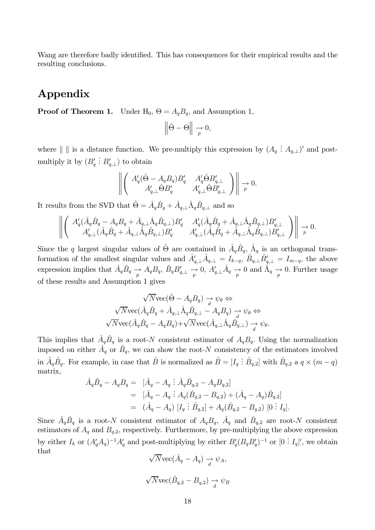Wang are therefore badly identified. This has consequences for their empirical results and the resulting conclusions.

## Appendix

**Proof of Theorem 1.** Under  $H_0$ ,  $\Theta = A_q B_q$ , and Assumption 1,

$$
\left\|\hat{\Theta} - \Theta\right\| \to 0,
$$

where  $\| \, \|$  is a distance function. We pre-multiply this expression by  $(A_q: A_{q,\perp})'$  and postmultiply it by  $(B'_q : B'_{q, \perp})$  to obtain

$$
\left\| \left( \begin{array}{cc} A'_q(\hat{\Theta} - A_q B_q) B'_q & A'_q \hat{\Theta} B'_{q,\perp} \\ A'_{q,\perp} \hat{\Theta} B'_q & A'_{q,\perp} \hat{\Theta} B'_{q,\perp} \end{array} \right) \right\| \underset{p}{\rightarrow} 0.
$$

It results from the SVD that  $\hat{\Theta} = \hat{A}_q \hat{B}_q + \hat{A}_{q,\perp} \hat{\Lambda}_q \hat{B}_{q,\perp}$  and so

$$
\left\| \left( \begin{array}{cc} A_q'(\hat{A}_q \hat{B}_q - A_q B_q + \hat{A}_{q,\perp} \hat{\Lambda}_q \hat{B}_{q,\perp}) B_q' & A_q'(\hat{A}_q \hat{B}_q + \hat{A}_{q,\perp} \hat{\Lambda}_q \hat{B}_{q,\perp}) B_{q,\perp}' \\ A_{q,\perp}'(\hat{A}_q \hat{B}_q + \hat{A}_{q,\perp} \hat{\Lambda}_q \hat{B}_{q,\perp}) B_q' & A_{q,\perp}'(\hat{A}_q \hat{B}_q + \hat{A}_{q,\perp} \hat{\Lambda}_q \hat{B}_{q,\perp}) B_{q,\perp}' \end{array} \right) \right\| \to 0
$$

Since the q largest singular values of  $\hat{\Theta}$  are contained in  $\hat{A}_q \hat{B}_q$ ,  $\hat{\Lambda}_q$  is an orthogonal transformation of the smallest singular values and  $\hat{A}'_{q,\perp}\hat{A}_{q,\perp} = I_{k-q}$ ,  $\hat{B}_{q,\perp}\hat{B}'_{q,\perp} = I_{m-q}$ , the above expression implies that  $\hat{A}_q \hat{B}_q \to A_q B_q$ ,  $\hat{B}_q B'_{q,\perp} \to 0$ ,  $A'_{q,\perp} \hat{A}_q \to 0$  and  $\hat{A}_q \to 0$ . Further usage of these results and Assumption 1 gives

$$
\sqrt{N}\text{vec}(\hat{\Theta} - A_q B_q) \to \psi_{\theta} \Leftrightarrow
$$
  

$$
\sqrt{N}\text{vec}(\hat{A}_q \hat{B}_q + \hat{A}_{q,\perp} \hat{\Lambda}_q \hat{B}_{q,\perp} - A_q B_q) \to \psi_{\theta} \Leftrightarrow
$$
  

$$
\sqrt{N}\text{vec}(\hat{A}_q \hat{B}_q - A_q B_q) + \sqrt{N}\text{vec}(\hat{A}_{q,\perp} \hat{\Lambda}_q \hat{B}_{q,\perp}) \to \psi_{\theta}.
$$

This implies that  $\hat{A}_q \hat{B}_q$  is a root-N consistent estimator of  $A_q B_q$ . Using the normalization imposed on either  $\hat{A}_q$  or  $\hat{B}_q$ , we can show the root-N consistency of the estimators involved in  $\hat{A}_q \hat{B}_q$ . For example, in case that  $\hat{B}$  is normalized as  $\hat{B} = [I_q : \hat{B}_{q,2}]$  with  $\hat{B}_{q,2}$  a  $q \times (m-q)$ matrix.

$$
\hat{A}_q \hat{B}_q - A_q B_q = [\hat{A}_q - A_q \; \vdots \; \hat{A}_q \hat{B}_{q,2} - A_q B_{q,2}] \n= [\hat{A}_q - A_q \; \vdots \; A_q (\hat{B}_{q,2} - B_{q,2}) + (\hat{A}_q - A_q) \hat{B}_{q,2}] \n= (\hat{A}_q - A_q) [I_q \; \vdots \; \hat{B}_{q,2}] + A_q (\hat{B}_{q,2} - B_{q,2}) [0 \; \vdots \; I_q].
$$

Since  $\hat{A}_q \hat{B}_q$  is a root-N consistent estimator of  $A_q B_q$ ,  $\hat{A}_q$  and  $\hat{B}_{q,2}$  are root-N consistent estimators of  $A_q$  and  $B_{q,2}$ , respectively. Furthermore, by pre-multiplying the above expression by either  $I_k$  or  $(A'_qA_q)^{-1}A'_q$  and post-multiplying by either  $B'_q(B_qB'_q)^{-1}$  or  $[0:I_q]'$ , we obtain that  $\hat{a}$ 

$$
\sqrt{N} \text{vec}(A_q - A_q) \xrightarrow{d} \psi_A,
$$
  

$$
\sqrt{N} \text{vec}(\hat{B}_{q,2} - B_{q,2}) \xrightarrow{d} \psi_B
$$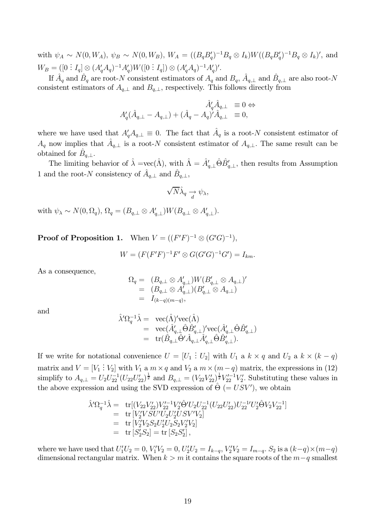with  $\psi_A \sim N(0, W_A)$ ,  $\psi_B \sim N(0, W_B)$ ,  $W_A = ((B_q B_q')^{-1} B_q \otimes I_k) W ((B_q B_q')^{-1} B_q \otimes I_k)'$ , and  $W_B = ([0: I_q] \otimes (A'_q A_q)^{-1} A'_q) W([0: I_q]) \otimes (A'_q A_q)^{-1} A'_q)'$ .

If  $\hat{A}_q$  and  $\hat{B}_q$  are root-N consistent estimators of  $A_q$  and  $B_q$ ,  $\hat{A}_{q,\perp}$  and  $\hat{B}_{q,\perp}$  are also root-N consistent estimators of  $A_{q,\perp}$  and  $B_{q,\perp}$ , respectively. This follows directly from

$$
\hat{A}'_q \hat{A}_{q,\perp} = 0 \Leftrightarrow
$$
  

$$
A'_q (\hat{A}_{q,\perp} - A_{q,\perp}) + (\hat{A}_q - A_q)' \hat{A}_{q,\perp} = 0,
$$

where we have used that  $A'_a A_{a,\perp} \equiv 0$ . The fact that  $A_q$  is a root-N consistent estimator of  $A_q$  now implies that  $A_{q,\perp}$  is a root-N consistent estimator of  $A_{q,\perp}$ . The same result can be obtained for  $B_{q,\perp}$ .

The limiting behavior of  $\hat{\lambda} = \text{vec}(\hat{\Lambda})$ , with  $\hat{\Lambda} = \hat{A}'_{a\perp} \hat{\Theta} \hat{B}'_{a\perp}$ , then results from Assumption 1 and the root-N consistency of  $\hat{A}_{q,\perp}$  and  $\hat{B}_{q,\perp}$ ,

$$
\sqrt{N}\hat{\lambda}_q \xrightarrow[d]{d} \psi_{\lambda},
$$

with  $\psi_{\lambda} \sim N(0, \Omega_q)$ ,  $\Omega_q = (B_{q,\perp} \otimes A'_{q,\perp}) W(B_{q,\perp} \otimes A'_{q,\perp}).$ 

**Proof of Proposition 1.** When  $V = ((F'F)^{-1} \otimes (G'G)^{-1})$ ,

$$
W = (F(F'F)^{-1}F' \otimes G(G'G)^{-1}G') = I_{km}.
$$

As a consequence,

$$
\Omega_q = (B_{q,\perp} \otimes A'_{q,\perp}) W (B'_{q,\perp} \otimes A_{q,\perp})' \n= (B_{q,\perp} \otimes A'_{q,\perp}) (B'_{q,\perp} \otimes A_{q,\perp}) \n= I_{(k-q)(m-q)},
$$

and

$$
\begin{array}{rcl} \hat{\lambda}' \Omega_{q}^{-1}\hat{\lambda}=&\text{vec}(\hat{\Lambda})'\text{vec}(\hat{\Lambda})\\&=&\text{vec}(\hat{A}_{q,\perp}'\hat{\Theta}\hat{B}_{q,\perp}')'\text{vec}(\hat{A}_{q,\perp}'\hat{\Theta}\hat{B}_{q,\perp}')\\&=&\text{tr}(\hat{B}_{q,\perp}\hat{\Theta}'\hat{A}_{q,\perp}\hat{A}_{q,\perp}'\hat{\Theta}\hat{B}_{q,\perp}').\end{array}
$$

If we write for notational convenience  $U = [U_1 : U_2]$  with  $U_1$  a  $k \times q$  and  $U_2$  a  $k \times (k - q)$ matrix and  $V = [V_1 : V_2]$  with  $V_1$  a  $m \times q$  and  $V_2$  a  $m \times (m - q)$  matrix, the expressions in (12) simplify to  $A_{q,\perp} = U_2 U_{22}^{-1} (U_{22} U_{22}')^{\frac{1}{2}}$  and  $B_{q,\perp} = (V_{22} V_{22}')^{\frac{1}{2}} V_{22}'^{-1} V_2'$ . Substituting these values in the above expression and using the SVD expression of  $\Theta (= USV')$ , we obtain

$$
\hat{\lambda}' \Omega_q^{-1} \hat{\lambda} = \text{tr}[(V_{22} V_{22}') V_{22}^{\prime -1} V_2' \hat{\Theta}' U_2 U_{22}^{-1} (U_{22} U_{22}') U_{22}^{-1} U_2' \hat{\Theta} V_2 V_{22}^{-1}]
$$
\n
$$
= \text{tr}[V_2' V S U' U_2 U_2' U S V' V_2]
$$
\n
$$
= \text{tr}[V_2' V_2 S_2 U_2' U_2 S_2 V_2' V_2]
$$
\n
$$
= \text{tr}[S_2' S_2] = \text{tr}[S_2 S_2'],
$$

where we have used that  $U_1'U_2 = 0$ ,  $V_1'V_2 = 0$ ,  $U_2'U_2 = I_{k-q}$ ,  $V_2'V_2 = I_{m-q}$ .  $S_2$  is a  $(k-q) \times (m-q)$ dimensional rectangular matrix. When  $k > m$  it contains the square roots of the  $m-q$  smallest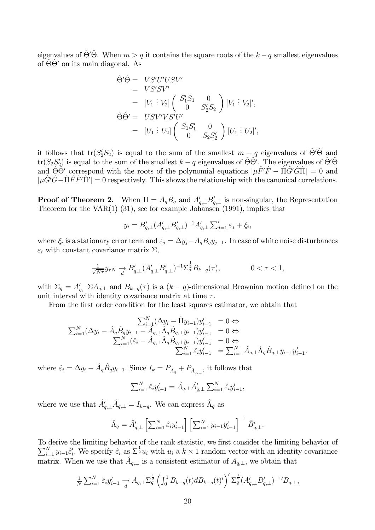eigenvalues of  $\hat{\Theta}'\hat{\Theta}$ . When  $m > q$  it contains the square roots of the  $k - q$  smallest eigenvalues of  $\Theta\Theta'$  on its main diagonal. As

$$
\hat{\Theta}' \hat{\Theta} = VS'U'USV'
$$
  
= VS'S'SV'  
= [V<sub>1</sub> : V<sub>2</sub>]  $\begin{pmatrix} S'_{1}S_{1} & 0 \\ 0 & S'_{2}S_{2} \end{pmatrix} [V_{1} : V_{2}]',$   

$$
\hat{\Theta} \hat{\Theta}' = USV'VS'U'
$$
  
= [U<sub>1</sub> : U<sub>2</sub>]  $\begin{pmatrix} S_{1}S'_{1} & 0 \\ 0 & S_{2}S'_{2} \end{pmatrix} [U_{1} : U_{2}]'$ 

it follows that  $tr(S'_2S_2)$  is equal to the sum of the smallest  $m-q$  eigenvalues of  $\hat{\Theta}'\hat{\Theta}$  and  $tr(S_2S_2')$  is equal to the sum of the smallest  $k-q$  eigenvalues of  $\hat{\Theta}\hat{\Theta}'$ . The eigenvalues of  $\hat{\Theta}'\hat{\Theta}$ and  $\hat{\Theta} \hat{\Theta}'$  correspond with the roots of the polynomial equations  $|\mu \hat{F}' \hat{F} - \hat{\Pi} \hat{G}' \hat{G} \hat{\Pi}| = 0$  and  $|\mu \hat{G}' \hat{G} - \hat{\Pi} \hat{F} \hat{F}' \hat{\Pi}'| = 0$  respectively. This shows the relationship with the canonical correlations.

**Proof of Theorem 2.** When  $\Pi = A_q B_q$  and  $A'_{q,\perp} B'_{q,\perp}$  is non-singular, the Representation Theorem for the  $VAR(1)$  (31), see for example Johansen (1991), implies that

$$
y_i = B'_{q,\perp} (A'_{q,\perp} B'_{q,\perp})^{-1} A'_{q,\perp} \sum_{j=1}^i \varepsilon_j + \xi_i,
$$

where  $\xi_i$  is a stationary error term and  $\varepsilon_j = \Delta y_j - A_q B_q y_{j-1}$ . In case of white noise disturbances  $\varepsilon_i$  with constant covariance matrix  $\Sigma$ ,

$$
\frac{1}{\sqrt{N\tau}} y_{\tau N} \xrightarrow{d} B'_{q,\perp} (A'_{q,\perp} B'_{q,\perp})^{-1} \Sigma_q^{\frac{1}{2}} B_{k-q}(\tau), \qquad 0 < \tau < 1,
$$

with  $\Sigma_q = A'_{q,1} \Sigma A_{q,1}$  and  $B_{k-q}(\tau)$  is a  $(k-q)$ -dimensional Brownian motion defined on the unit interval with identity covariance matrix at time  $\tau$ .

From the first order condition for the least squares estimator, we obtain that

$$
\sum_{i=1}^{N} (\Delta y_i - \hat{\Pi} y_{i-1}) y'_{i-1} = 0 \Leftrightarrow
$$
\n
$$
\sum_{i=1}^{N} (\Delta y_i - \hat{A}_q \hat{B}_q y_{i-1} - \hat{A}_{q,\perp} \hat{\Lambda}_q \hat{B}_{q,\perp} y_{i-1}) y'_{i-1} = 0 \Leftrightarrow
$$
\n
$$
\sum_{i=1}^{N} (\hat{\varepsilon}_i - \hat{A}_{q,\perp} \hat{\Lambda}_q \hat{B}_{q,\perp} y_{i-1}) y'_{i-1} = 0 \Leftrightarrow
$$
\n
$$
\sum_{i=1}^{N} \hat{\varepsilon}_i y'_{i-1} = \sum_{i=1}^{N} \hat{A}_{q,\perp} \hat{\Lambda}_q \hat{B}_{q,\perp} y_{i-1} y'_{i-1}
$$

where  $\hat{\varepsilon}_i = \Delta y_i - \hat{A}_q \hat{B}_q y_{i-1}$ . Since  $I_k = P_{\hat{A}_q} + P_{\hat{A}_{q,\perp}}$ , it follows that

$$
\sum_{i=1}^{N} \hat{\varepsilon}_i y'_{i-1} = \hat{A}_{q,\perp} \hat{A}'_{q,\perp} \sum_{i=1}^{N} \hat{\varepsilon}_i y'_{i-1},
$$

where we use that  $\hat{A}'_{q,\perp}\hat{A}_{q,\perp} = I_{k-q}$ . We can express  $\hat{\Lambda}_q$  as

$$
\hat{\Lambda}_q = \hat{A}'_{q,\perp} \left[ \sum_{i=1}^N \hat{\varepsilon}_i y'_{i-1} \right] \left[ \sum_{i=1}^N y_{i-1} y'_{i-1} \right]^{-1} \hat{B}'_{q,\perp}.
$$

To derive the limiting behavior of the rank statistic, we first consider the limiting behavior of  $\sum_{i=1}^N y_{i-1} \hat{\varepsilon}'_i$ . We specify  $\hat{\varepsilon}_i$  as  $\Sigma^{\frac{1}{2}} u_i$  with  $u_i$  a  $k \times 1$  random vector with an identity covariance matrix. When we use that  $\hat{A}_{q,\perp}$  is a consistent estimator of  $A_{q,\perp}$ , we obtain that

$$
\frac{1}{N} \sum_{i=1}^{N} \hat{\varepsilon}_i y'_{i-1} \xrightarrow[d]{} A_{q,\perp} \sum_{q}^{\frac{1}{2}} \left( \int_0^1 B_{k-q}(t) dB_{k-q}(t)' \right)' \sum_{q}^{\frac{1}{2}} (A'_{q,\perp} B'_{q,\perp})^{-1} B_{q,\perp},
$$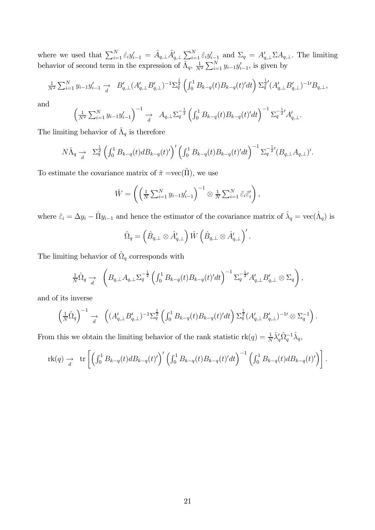where we used that  $\sum_{i=1}^{N} \hat{\varepsilon}_i y'_{i-1} = \hat{A}_{q,\perp} \hat{A}'_{q,\perp} \sum_{i=1}^{N} \hat{\varepsilon}_i y'_{i-1}$  and  $\Sigma_q = A'_{q,\perp} \Sigma A_{q,\perp}$ . The limiting behavior of second term in the expression of  $\hat{\Lambda}_q$ ,  $\frac{1}{N^2} \sum_{i=1}^{N} y_{i-1} y'_{i$ 

$$
\frac{1}{N^2} \sum_{i=1}^N y_{i-1} y'_{i-1} \xrightarrow{d} B'_{q,\perp} (A'_{q,\perp} B'_{q,\perp})^{-1} \sum_{q}^{\frac{1}{2}} \left( \int_0^1 B_{k-q}(t) B_{k-q}(t)' dt \right) \sum_{q}^{\frac{1}{2}} (A'_{q,\perp} B'_{q,\perp})^{-1} B_{q,\perp},
$$

and

$$
\left(\frac{1}{N^2} \sum_{i=1}^N y_{i-1} y'_{i-1}\right)^{-1} \xrightarrow{d} A_{q,\perp} \sum_{q=1}^{-\frac{1}{2}} \left(\int_0^1 B_{k-q}(t) B_{k-q}(t)' dt\right)^{-1} \sum_{q=1}^{-\frac{1}{2}} A'_{q,\perp}
$$

The limiting behavior of  $\hat{\Lambda}_q$  is therefore

$$
N\hat{\Lambda}_q \to \Sigma_q^{\frac{1}{2}} \left( \int_0^1 B_{k-q}(t) dB_{k-q}(t)' \right)' \left( \int_0^1 B_{k-q}(t) B_{k-q}(t)' dt \right)^{-1} \Sigma_q^{-\frac{1}{2}} (B_{q,\perp} A_{q,\perp})'.
$$

To estimate the covariance matrix of  $\hat{\pi} = \text{vec}(\hat{\Pi})$ , we use

$$
\hat{W} = \left( \left( \frac{1}{N} \sum_{i=1}^{N} y_{i-1} y'_{i-1} \right)^{-1} \otimes \frac{1}{N} \sum_{i=1}^{N} \tilde{\varepsilon}_i \tilde{\varepsilon}'_i \right),
$$

where  $\tilde{\varepsilon}_i = \Delta y_i - \hat{\Pi} y_{i-1}$  and hence the estimator of the covariance matrix of  $\hat{\lambda}_q = \text{vec}(\hat{\Lambda}_q)$  is

$$
\hat{\Omega}_q = \left(\hat{B}_{q,\perp} \otimes \hat{A}_{q,\perp}'\right) \hat{W} \left(\hat{B}_{q,\perp} \otimes \hat{A}_{q,\perp}'\right)'
$$

The limiting behavior of  $\hat{\Omega}_q$  corresponds with

$$
\frac{1}{N}\hat{\Omega}_q \rightarrow \left(B_{q,\perp}A_{q,\perp}\Sigma_q^{-\frac{1}{2}}\left(\int_0^1 B_{k-q}(t)B_{k-q}(t)'dt\right)^{-1}\Sigma_q^{-\frac{1}{2}'}A'_{q,\perp}B'_{q,\perp}\otimes \Sigma_q\right),
$$

and of its inverse

$$
\left(\frac{1}{N}\hat{\Omega}_{q}\right)^{-1} \xrightarrow[d]{} \left((A'_{q,\perp}B'_{q,\perp})^{-1}\Sigma_{q}^{\frac{1}{2}}\left(\int_{0}^{1}B_{k-q}(t)B_{k-q}(t)'dt\right)\Sigma_{q}^{\frac{1}{2}}(A'_{q,\perp}B'_{q,\perp})^{-1} \otimes \Sigma_{q}^{-1}\right).
$$

From this we obtain the limiting behavior of the rank statistic  $rk(q) = \frac{1}{N}\lambda'_q \hat{\Omega}_q^{-1} \hat{\lambda}_q$ ,

$$
\mathrm{rk}(q) \to \int_{d}^{d} \mathrm{tr}\left[ \left( \int_{0}^{1} B_{k-q}(t) dB_{k-q}(t)' \right)' \left( \int_{0}^{1} B_{k-q}(t) B_{k-q}(t)' dt \right)^{-1} \left( \int_{0}^{1} B_{k-q}(t) dB_{k-q}(t)' \right) \right].
$$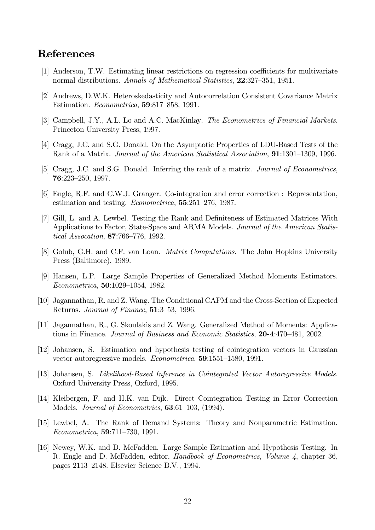## **References**

- [1] Anderson, T.W. Estimating linear restrictions on regression coefficients for multivariate normal distributions. Annals of Mathematical Statistics, 22:327-351, 1951.
- [2] Andrews, D.W.K. Heteroskedasticity and Autocorrelation Consistent Covariance Matrix Estimation. *Econometrica*, **59**:817–858, 1991.
- [3] Campbell, J.Y., A.L. Lo and A.C. MacKinlay. The Econometrics of Financial Markets. Princeton University Press, 1997.
- [4] Cragg, J.C. and S.G. Donald. On the Asymptotic Properties of LDU-Based Tests of the Rank of a Matrix. Journal of the American Statistical Association, 91:1301-1309, 1996.
- [5] Cragg, J.C. and S.G. Donald. Inferring the rank of a matrix. Journal of Econometrics,  $76:223 - 250, 1997.$
- [6] Engle, R.F. and C.W.J. Granger. Co-integration and error correction : Representation, estimation and testing. *Econometrica*, **55**:251–276, 1987.
- [7] Gill, L. and A. Lewbel. Testing the Rank and Definiteness of Estimated Matrices With Applications to Factor, State-Space and ARMA Models. Journal of the American Statis*tical Assocation*, 87:766-776, 1992.
- [8] Golub, G.H. and C.F. van Loan. *Matrix Computations*. The John Hopkins University Press (Baltimore), 1989.
- [9] Hansen, L.P. Large Sample Properties of Generalized Method Moments Estimators. Econometrica, 50:1029-1054, 1982.
- [10] Jagannathan, R. and Z. Wang. The Conditional CAPM and the Cross-Section of Expected Returns. *Journal of Finance*, **51**:3–53, 1996.
- [11] Jagannathan, R., G. Skoulakis and Z. Wang. Generalized Method of Moments: Applications in Finance. Journal of Business and Economic Statistics, 20-4:470-481, 2002.
- [12] Johansen, S. Estimation and hypothesis testing of cointegration vectors in Gaussian vector autoregressive models. *Econometrica*, **59**:1551-1580, 1991.
- [13] Johansen, S. Likelihood-Based Inference in Cointegrated Vector Autoregressive Models. Oxford University Press, Oxford, 1995.
- [14] Kleibergen, F. and H.K. van Dijk. Direct Cointegration Testing in Error Correction Models. Journal of Econometrics, 63:61–103, (1994).
- [15] Lewbel, A. The Rank of Demand Systems: Theory and Nonparametric Estimation. *Econometrica*, **59**:711-730, 1991.
- [16] Newey, W.K. and D. McFadden. Large Sample Estimation and Hypothesis Testing. In R. Engle and D. McFadden, editor, *Handbook of Econometrics*, *Volume 4*, chapter 36, pages 2113–2148. Elsevier Science B.V., 1994.